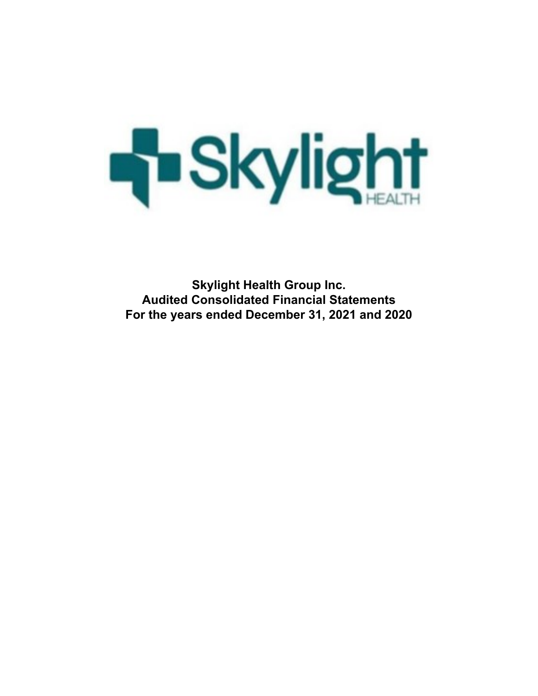

**Skylight Health Group Inc. Audited Consolidated Financial Statements For the years ended December 31, 2021 and 2020**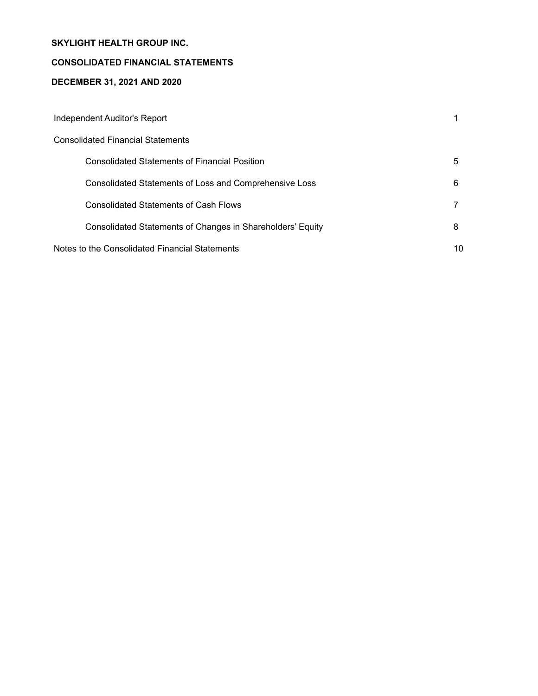# **SKYLIGHT HEALTH GROUP INC.**

# **CONSOLIDATED FINANCIAL STATEMENTS**

# **DECEMBER 31, 2021 AND 2020**

| Independent Auditor's Report                               |    |
|------------------------------------------------------------|----|
| <b>Consolidated Financial Statements</b>                   |    |
| <b>Consolidated Statements of Financial Position</b>       | 5  |
| Consolidated Statements of Loss and Comprehensive Loss     | 6  |
| <b>Consolidated Statements of Cash Flows</b>               |    |
| Consolidated Statements of Changes in Shareholders' Equity | 8  |
| Notes to the Consolidated Financial Statements             | 10 |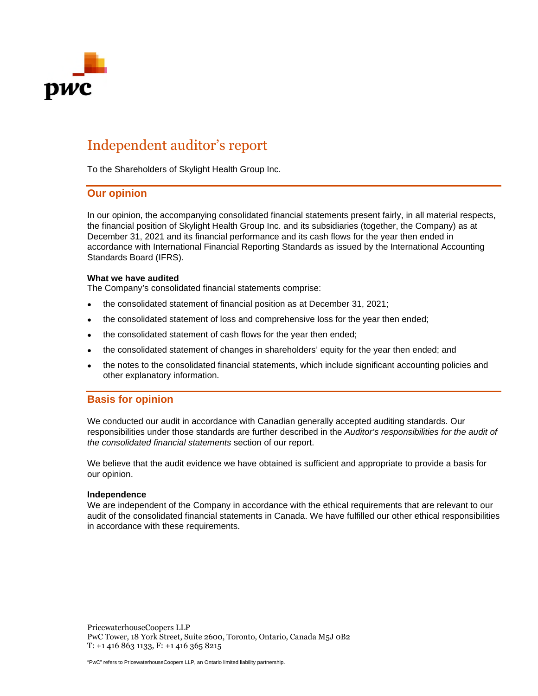

# Independent auditor's report

To the Shareholders of Skylight Health Group Inc.

# **Our opinion**

In our opinion, the accompanying consolidated financial statements present fairly, in all material respects, the financial position of Skylight Health Group Inc. and its subsidiaries (together, the Company) as at December 31, 2021 and its financial performance and its cash flows for the year then ended in accordance with International Financial Reporting Standards as issued by the International Accounting Standards Board (IFRS).

# **What we have audited**

The Company's consolidated financial statements comprise:

- the consolidated statement of financial position as at December 31, 2021;
- the consolidated statement of loss and comprehensive loss for the year then ended;
- the consolidated statement of cash flows for the year then ended;
- the consolidated statement of changes in shareholders' equity for the year then ended; and
- the notes to the consolidated financial statements, which include significant accounting policies and other explanatory information.

# **Basis for opinion**

We conducted our audit in accordance with Canadian generally accepted auditing standards. Our responsibilities under those standards are further described in the *Auditor's responsibilities for the audit of the consolidated financial statements* section of our report.

We believe that the audit evidence we have obtained is sufficient and appropriate to provide a basis for our opinion.

#### **Independence**

We are independent of the Company in accordance with the ethical requirements that are relevant to our audit of the consolidated financial statements in Canada. We have fulfilled our other ethical responsibilities in accordance with these requirements.

PricewaterhouseCoopers LLP PwC Tower, 18 York Street, Suite 2600, Toronto, Ontario, Canada M5J 0B2 T: +1 416 863 1133, F: +1 416 365 8215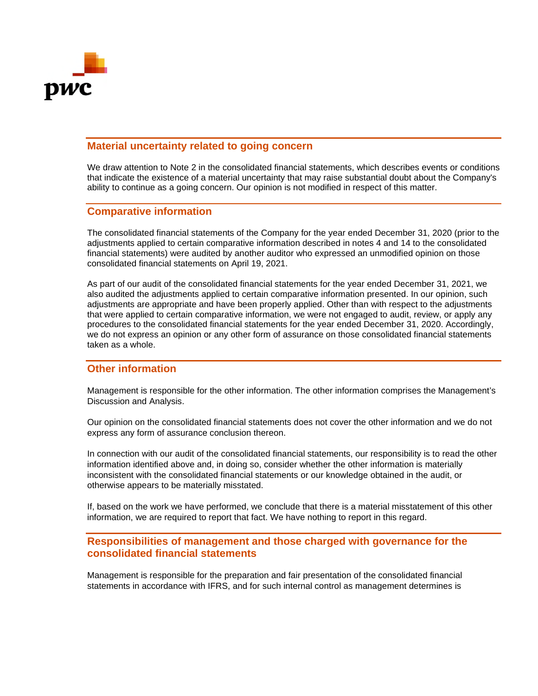

# **Material uncertainty related to going concern**

We draw attention to Note 2 in the consolidated financial statements, which describes events or conditions that indicate the existence of a material uncertainty that may raise substantial doubt about the Company's ability to continue as a going concern. Our opinion is not modified in respect of this matter.

# **Comparative information**

The consolidated financial statements of the Company for the year ended December 31, 2020 (prior to the adjustments applied to certain comparative information described in notes 4 and 14 to the consolidated financial statements) were audited by another auditor who expressed an unmodified opinion on those consolidated financial statements on April 19, 2021.

As part of our audit of the consolidated financial statements for the year ended December 31, 2021, we also audited the adjustments applied to certain comparative information presented. In our opinion, such adjustments are appropriate and have been properly applied. Other than with respect to the adjustments that were applied to certain comparative information, we were not engaged to audit, review, or apply any procedures to the consolidated financial statements for the year ended December 31, 2020. Accordingly, we do not express an opinion or any other form of assurance on those consolidated financial statements taken as a whole.

# **Other information**

Management is responsible for the other information. The other information comprises the Management's Discussion and Analysis.

Our opinion on the consolidated financial statements does not cover the other information and we do not express any form of assurance conclusion thereon.

In connection with our audit of the consolidated financial statements, our responsibility is to read the other information identified above and, in doing so, consider whether the other information is materially inconsistent with the consolidated financial statements or our knowledge obtained in the audit, or otherwise appears to be materially misstated.

If, based on the work we have performed, we conclude that there is a material misstatement of this other information, we are required to report that fact. We have nothing to report in this regard.

# **Responsibilities of management and those charged with governance for the consolidated financial statements**

Management is responsible for the preparation and fair presentation of the consolidated financial statements in accordance with IFRS, and for such internal control as management determines is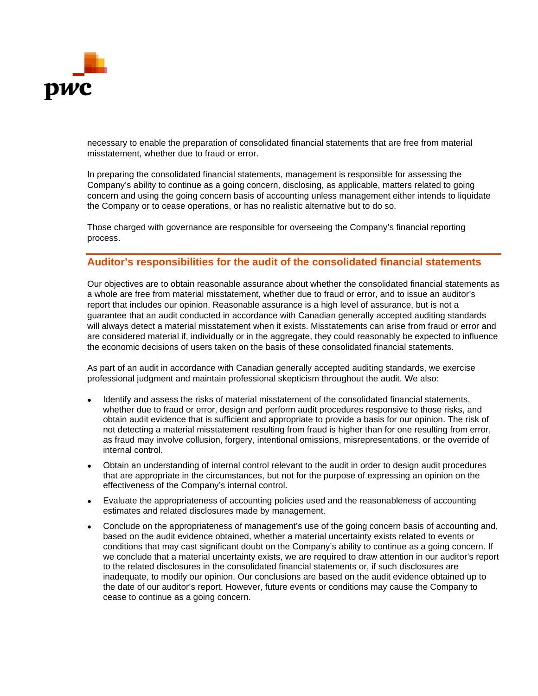

necessary to enable the preparation of consolidated financial statements that are free from material misstatement, whether due to fraud or error.

In preparing the consolidated financial statements, management is responsible for assessing the Company's ability to continue as a going concern, disclosing, as applicable, matters related to going concern and using the going concern basis of accounting unless management either intends to liquidate the Company or to cease operations, or has no realistic alternative but to do so.

Those charged with governance are responsible for overseeing the Company's financial reporting process.

# **Auditor's responsibilities for the audit of the consolidated financial statements**

Our objectives are to obtain reasonable assurance about whether the consolidated financial statements as a whole are free from material misstatement, whether due to fraud or error, and to issue an auditor's report that includes our opinion. Reasonable assurance is a high level of assurance, but is not a guarantee that an audit conducted in accordance with Canadian generally accepted auditing standards will always detect a material misstatement when it exists. Misstatements can arise from fraud or error and are considered material if, individually or in the aggregate, they could reasonably be expected to influence the economic decisions of users taken on the basis of these consolidated financial statements.

As part of an audit in accordance with Canadian generally accepted auditing standards, we exercise professional judgment and maintain professional skepticism throughout the audit. We also:

- Identify and assess the risks of material misstatement of the consolidated financial statements, whether due to fraud or error, design and perform audit procedures responsive to those risks, and obtain audit evidence that is sufficient and appropriate to provide a basis for our opinion. The risk of not detecting a material misstatement resulting from fraud is higher than for one resulting from error, as fraud may involve collusion, forgery, intentional omissions, misrepresentations, or the override of internal control.
- Obtain an understanding of internal control relevant to the audit in order to design audit procedures that are appropriate in the circumstances, but not for the purpose of expressing an opinion on the effectiveness of the Company's internal control.
- Evaluate the appropriateness of accounting policies used and the reasonableness of accounting estimates and related disclosures made by management.
- Conclude on the appropriateness of management's use of the going concern basis of accounting and, based on the audit evidence obtained, whether a material uncertainty exists related to events or conditions that may cast significant doubt on the Company's ability to continue as a going concern. If we conclude that a material uncertainty exists, we are required to draw attention in our auditor's report to the related disclosures in the consolidated financial statements or, if such disclosures are inadequate, to modify our opinion. Our conclusions are based on the audit evidence obtained up to the date of our auditor's report. However, future events or conditions may cause the Company to cease to continue as a going concern.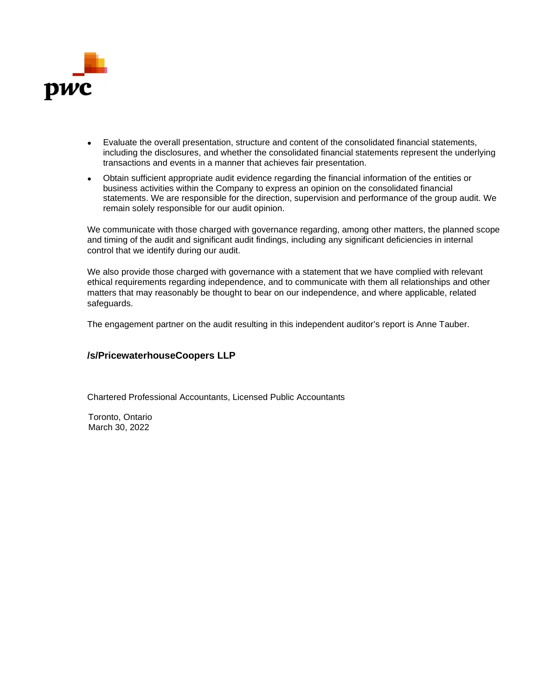

- Evaluate the overall presentation, structure and content of the consolidated financial statements, including the disclosures, and whether the consolidated financial statements represent the underlying transactions and events in a manner that achieves fair presentation.
- Obtain sufficient appropriate audit evidence regarding the financial information of the entities or business activities within the Company to express an opinion on the consolidated financial statements. We are responsible for the direction, supervision and performance of the group audit. We remain solely responsible for our audit opinion.

We communicate with those charged with governance regarding, among other matters, the planned scope and timing of the audit and significant audit findings, including any significant deficiencies in internal control that we identify during our audit.

We also provide those charged with governance with a statement that we have complied with relevant ethical requirements regarding independence, and to communicate with them all relationships and other matters that may reasonably be thought to bear on our independence, and where applicable, related safeguards.

The engagement partner on the audit resulting in this independent auditor's report is Anne Tauber.

# **/s/PricewaterhouseCoopers LLP**

Chartered Professional Accountants, Licensed Public Accountants

Toronto, Ontario March 30, 2022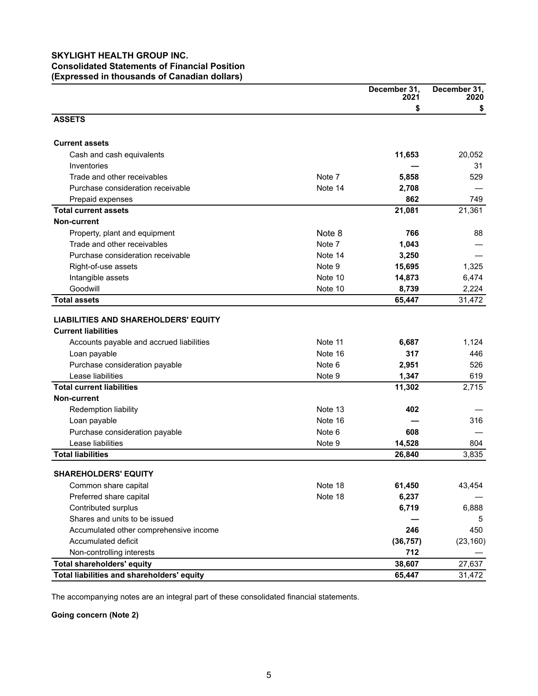# **SKYLIGHT HEALTH GROUP INC. Consolidated Statements of Financial Position (Expressed in thousands of Canadian dollars)**

|                                                                           |         | December 31,<br>2021 | December 31,<br>2020 |
|---------------------------------------------------------------------------|---------|----------------------|----------------------|
| <b>ASSETS</b>                                                             |         | \$                   | S                    |
| <b>Current assets</b>                                                     |         |                      |                      |
| Cash and cash equivalents                                                 |         | 11,653               | 20,052               |
| Inventories                                                               |         |                      | 31                   |
| Trade and other receivables                                               | Note 7  | 5,858                | 529                  |
| Purchase consideration receivable                                         | Note 14 | 2,708                |                      |
| Prepaid expenses                                                          |         | 862                  | 749                  |
| <b>Total current assets</b>                                               |         | 21,081               | 21,361               |
| Non-current                                                               |         |                      |                      |
| Property, plant and equipment                                             | Note 8  | 766                  | 88                   |
| Trade and other receivables                                               | Note 7  | 1,043                |                      |
| Purchase consideration receivable                                         | Note 14 | 3,250                |                      |
| Right-of-use assets                                                       | Note 9  | 15,695               | 1,325                |
| Intangible assets                                                         | Note 10 | 14,873               | 6,474                |
| Goodwill                                                                  | Note 10 | 8,739                | 2,224                |
| <b>Total assets</b>                                                       |         | 65,447               | 31,472               |
| <b>LIABILITIES AND SHAREHOLDERS' EQUITY</b><br><b>Current liabilities</b> |         |                      |                      |
| Accounts payable and accrued liabilities                                  | Note 11 | 6,687                | 1,124                |
| Loan payable                                                              | Note 16 | 317                  | 446                  |
| Purchase consideration payable                                            | Note 6  | 2,951                | 526                  |
| Lease liabilities                                                         | Note 9  | 1,347                | 619                  |
| <b>Total current liabilities</b>                                          |         | 11,302               | 2,715                |
| <b>Non-current</b>                                                        |         |                      |                      |
| Redemption liability                                                      | Note 13 | 402                  |                      |
| Loan payable                                                              | Note 16 |                      | 316                  |
| Purchase consideration payable                                            | Note 6  | 608                  |                      |
| Lease liabilities                                                         | Note 9  | 14,528               | 804                  |
| <b>Total liabilities</b>                                                  |         | 26,840               | 3,835                |
| <b>SHAREHOLDERS' EQUITY</b>                                               |         |                      |                      |
| Common share capital                                                      | Note 18 | 61,450               | 43,454               |
| Preferred share capital                                                   | Note 18 | 6,237                |                      |
| Contributed surplus                                                       |         | 6,719                | 6,888                |
| Shares and units to be issued                                             |         |                      | 5                    |
| Accumulated other comprehensive income                                    |         | 246                  | 450                  |
| Accumulated deficit                                                       |         | (36, 757)            | (23, 160)            |
| Non-controlling interests                                                 |         | 712                  |                      |
| Total shareholders' equity                                                |         | 38,607               | 27,637               |
| Total liabilities and shareholders' equity                                |         | 65,447               | 31,472               |

The accompanying notes are an integral part of these consolidated financial statements.

**Going concern (Note 2)**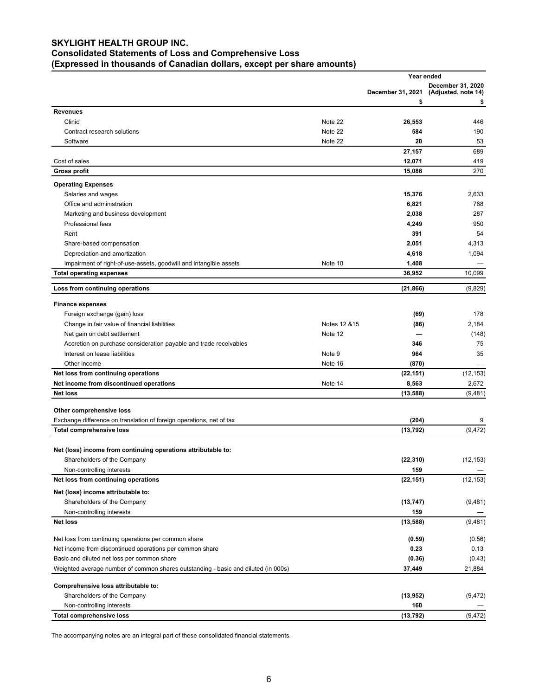# **SKYLIGHT HEALTH GROUP INC. Consolidated Statements of Loss and Comprehensive Loss (Expressed in thousands of Canadian dollars, except per share amounts)**

|                                                                                    |               | Year ended              |                                                |
|------------------------------------------------------------------------------------|---------------|-------------------------|------------------------------------------------|
|                                                                                    |               | December 31, 2021<br>\$ | December 31, 2020<br>(Adjusted, note 14)<br>\$ |
| <b>Revenues</b>                                                                    |               |                         |                                                |
| Clinic                                                                             | Note 22       | 26,553                  | 446                                            |
| Contract research solutions                                                        | Note 22       | 584                     | 190                                            |
| Software                                                                           | Note 22       | 20                      | 53                                             |
|                                                                                    |               | 27,157                  | 689                                            |
| Cost of sales                                                                      |               | 12,071                  | 419                                            |
| <b>Gross profit</b>                                                                |               | 15.086                  | 270                                            |
| <b>Operating Expenses</b>                                                          |               |                         |                                                |
| Salaries and wages                                                                 |               | 15,376                  | 2,633                                          |
| Office and administration                                                          |               | 6,821                   | 768                                            |
| Marketing and business development                                                 |               | 2,038                   | 287                                            |
| Professional fees                                                                  |               | 4,249                   | 950                                            |
| Rent                                                                               |               | 391                     | 54                                             |
| Share-based compensation                                                           |               | 2,051                   | 4,313                                          |
| Depreciation and amortization                                                      |               | 4,618                   | 1,094                                          |
| Impairment of right-of-use-assets, goodwill and intangible assets                  | Note 10       | 1,408                   |                                                |
| <b>Total operating expenses</b>                                                    |               | 36,952                  | 10,099                                         |
| Loss from continuing operations                                                    |               | (21, 866)               | (9,829)                                        |
|                                                                                    |               |                         |                                                |
| <b>Finance expenses</b>                                                            |               |                         |                                                |
| Foreign exchange (gain) loss                                                       |               | (69)                    | 178                                            |
| Change in fair value of financial liabilities                                      | Notes 12 & 15 | (86)                    | 2,184                                          |
| Net gain on debt settlement                                                        | Note 12       |                         | (148)                                          |
| Accretion on purchase consideration payable and trade receivables                  |               | 346                     | 75                                             |
| Interest on lease liabilities                                                      | Note 9        | 964                     | 35                                             |
| Other income                                                                       | Note 16       | (870)                   |                                                |
| Net loss from continuing operations                                                |               | (22, 151)               | (12, 153)                                      |
| Net income from discontinued operations                                            | Note 14       | 8,563                   | 2,672                                          |
| <b>Net loss</b>                                                                    |               | (13, 588)               | (9,481)                                        |
| Other comprehensive loss                                                           |               |                         |                                                |
| Exchange difference on translation of foreign operations, net of tax               |               | (204)                   | 9                                              |
| <b>Total comprehensive loss</b>                                                    |               | (13, 792)               | (9, 472)                                       |
|                                                                                    |               |                         |                                                |
| Net (loss) income from continuing operations attributable to:                      |               |                         |                                                |
| Shareholders of the Company                                                        |               | (22, 310)               | (12, 153)                                      |
| Non-controlling interests                                                          |               | 159                     |                                                |
| Net loss from continuing operations                                                |               | (22, 151)               | (12, 153)                                      |
| Net (loss) income attributable to:                                                 |               |                         |                                                |
| Shareholders of the Company                                                        |               | (13, 747)               | (9,481)                                        |
| Non-controlling interests                                                          |               | 159                     |                                                |
| <b>Net loss</b>                                                                    |               | (13, 588)               | (9, 481)                                       |
| Net loss from continuing operations per common share                               |               | (0.59)                  | (0.56)                                         |
| Net income from discontinued operations per common share                           |               | 0.23                    | 0.13                                           |
| Basic and diluted net loss per common share                                        |               | (0.36)                  | (0.43)                                         |
| Weighted average number of common shares outstanding - basic and diluted (in 000s) |               | 37,449                  | 21,884                                         |
|                                                                                    |               |                         |                                                |
| Comprehensive loss attributable to:                                                |               |                         |                                                |
| Shareholders of the Company                                                        |               | (13, 952)               | (9, 472)                                       |
| Non-controlling interests                                                          |               | 160                     |                                                |
| <b>Total comprehensive loss</b>                                                    |               | (13, 792)               | (9, 472)                                       |

The accompanying notes are an integral part of these consolidated financial statements.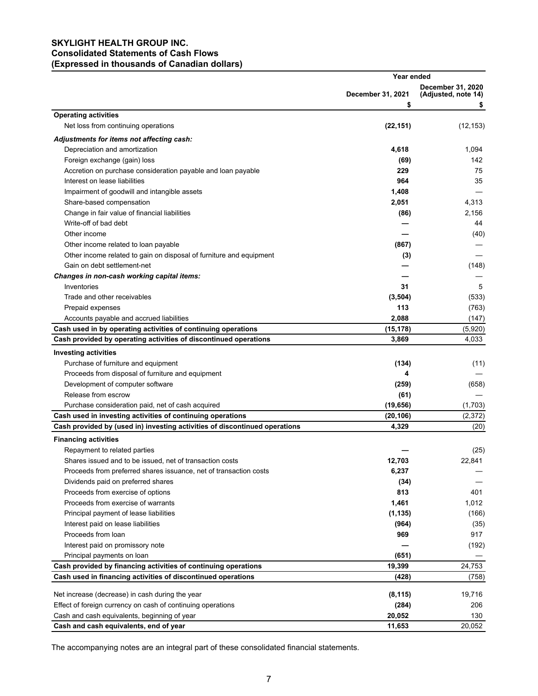# **SKYLIGHT HEALTH GROUP INC. Consolidated Statements of Cash Flows (Expressed in thousands of Canadian dollars)**

|                                                                            | Year ended        |                                          |  |
|----------------------------------------------------------------------------|-------------------|------------------------------------------|--|
|                                                                            | December 31, 2021 | December 31, 2020<br>(Adjusted, note 14) |  |
|                                                                            | \$                |                                          |  |
| <b>Operating activities</b>                                                |                   |                                          |  |
| Net loss from continuing operations                                        | (22, 151)         | (12, 153)                                |  |
| Adjustments for items not affecting cash:                                  |                   |                                          |  |
| Depreciation and amortization                                              | 4,618             | 1,094                                    |  |
| Foreign exchange (gain) loss                                               | (69)              | 142                                      |  |
| Accretion on purchase consideration payable and loan payable               | 229               | 75                                       |  |
| Interest on lease liabilities                                              | 964               | 35                                       |  |
| Impairment of goodwill and intangible assets                               | 1,408             |                                          |  |
| Share-based compensation                                                   | 2,051             | 4,313                                    |  |
| Change in fair value of financial liabilities                              | (86)              | 2,156                                    |  |
| Write-off of bad debt                                                      |                   | 44                                       |  |
| Other income                                                               |                   | (40)                                     |  |
| Other income related to loan payable                                       | (867)             |                                          |  |
| Other income related to gain on disposal of furniture and equipment        | (3)               |                                          |  |
| Gain on debt settlement-net                                                |                   | (148)                                    |  |
| Changes in non-cash working capital items:                                 |                   |                                          |  |
| Inventories                                                                | 31                | 5                                        |  |
| Trade and other receivables                                                | (3, 504)          | (533)                                    |  |
| Prepaid expenses                                                           | 113               | (763)                                    |  |
| Accounts payable and accrued liabilities                                   | 2,088             | (147)                                    |  |
| Cash used in by operating activities of continuing operations              | (15, 178)         | (5,920)                                  |  |
| Cash provided by operating activities of discontinued operations           | 3,869             | 4,033                                    |  |
| <b>Investing activities</b>                                                |                   |                                          |  |
| Purchase of furniture and equipment                                        | (134)             | (11)                                     |  |
| Proceeds from disposal of furniture and equipment                          | 4                 |                                          |  |
| Development of computer software                                           | (259)             | (658)                                    |  |
| Release from escrow                                                        | (61)              |                                          |  |
| Purchase consideration paid, net of cash acquired                          | (19, 656)         | (1,703)                                  |  |
| Cash used in investing activities of continuing operations                 | (20, 106)         | (2,372)                                  |  |
| Cash provided by (used in) investing activities of discontinued operations | 4,329             | (20)                                     |  |
| <b>Financing activities</b>                                                |                   |                                          |  |
| Repayment to related parties                                               |                   | (25)                                     |  |
| Shares issued and to be issued, net of transaction costs                   | 12,703            | 22,841                                   |  |
| Proceeds from preferred shares issuance, net of transaction costs          | 6,237             |                                          |  |
| Dividends paid on preferred shares                                         | (34)              |                                          |  |
| Proceeds from exercise of options                                          | 813               | 401                                      |  |
| Proceeds from exercise of warrants                                         | 1,461             | 1,012                                    |  |
| Principal payment of lease liabilities                                     | (1, 135)          | (166)                                    |  |
| Interest paid on lease liabilities                                         | (964)             | (35)                                     |  |
| Proceeds from loan                                                         | 969               | 917                                      |  |
| Interest paid on promissory note                                           |                   | (192)                                    |  |
| Principal payments on loan                                                 | (651)             |                                          |  |
| Cash provided by financing activities of continuing operations             | 19,399            | 24,753                                   |  |
| Cash used in financing activities of discontinued operations               | (428)             | (758)                                    |  |
|                                                                            |                   |                                          |  |
| Net increase (decrease) in cash during the year                            | (8, 115)          | 19,716                                   |  |
| Effect of foreign currency on cash of continuing operations                | (284)             | 206                                      |  |
| Cash and cash equivalents, beginning of year                               | 20,052            | 130                                      |  |
| Cash and cash equivalents, end of year                                     | 11,653            | 20,052                                   |  |

The accompanying notes are an integral part of these consolidated financial statements.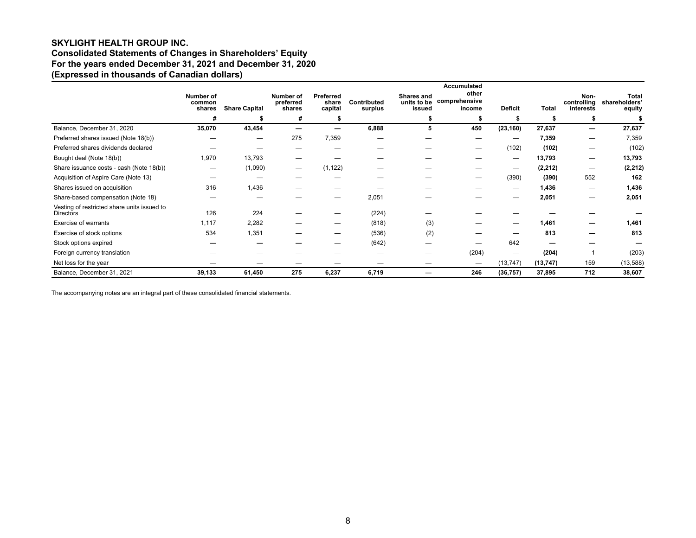# **SKYLIGHT HEALTH GROUP INC. Consolidated Statements of Changes in Shareholders' Equity For the years ended December 31, 2021 and December 31, 2020 (Expressed in thousands of Canadian dollars)**

|                                                          | Number of<br>common<br>shares | <b>Share Capital</b> | Number of<br>preferred<br>shares | Preferred<br>share<br>capital | Contributed<br>surplus | <b>Shares and</b><br>units to be<br>issued | Accumulated<br>other<br>comprehensive<br>income | <b>Deficit</b>                  | Total     | Non-<br>controlling<br>interests | <b>Total</b><br>shareholders'<br>equity |
|----------------------------------------------------------|-------------------------------|----------------------|----------------------------------|-------------------------------|------------------------|--------------------------------------------|-------------------------------------------------|---------------------------------|-----------|----------------------------------|-----------------------------------------|
|                                                          | #                             |                      | #                                |                               |                        |                                            |                                                 |                                 |           |                                  |                                         |
| Balance, December 31, 2020                               | 35,070                        | 43,454               | –                                | —                             | 6,888                  | 5                                          | 450                                             | (23, 160)                       | 27,637    | –                                | 27,637                                  |
| Preferred shares issued (Note 18(b))                     |                               |                      | 275                              | 7,359                         |                        |                                            |                                                 |                                 | 7,359     |                                  | 7,359                                   |
| Preferred shares dividends declared                      |                               |                      |                                  |                               |                        |                                            |                                                 | (102)                           | (102)     |                                  | (102)                                   |
| Bought deal (Note 18(b))                                 | 1,970                         | 13,793               |                                  |                               |                        |                                            |                                                 | $\hspace{0.1mm}-\hspace{0.1mm}$ | 13,793    | —                                | 13,793                                  |
| Share issuance costs - cash (Note 18(b))                 |                               | (1,090)              |                                  | (1, 122)                      |                        |                                            |                                                 | $\hspace{0.1mm}-\hspace{0.1mm}$ | (2, 212)  |                                  | (2, 212)                                |
| Acquisition of Aspire Care (Note 13)                     |                               |                      |                                  |                               |                        |                                            |                                                 | (390)                           | (390)     | 552                              | 162                                     |
| Shares issued on acquisition                             | 316                           | 1,436                |                                  |                               |                        |                                            |                                                 |                                 | 1,436     |                                  | 1,436                                   |
| Share-based compensation (Note 18)                       |                               |                      |                                  |                               | 2,051                  |                                            |                                                 |                                 | 2,051     |                                  | 2,051                                   |
| Vesting of restricted share units issued to<br>Directors | 126                           | 224                  |                                  |                               | (224)                  |                                            |                                                 |                                 |           |                                  |                                         |
| Exercise of warrants                                     | 1,117                         | 2,282                |                                  |                               | (818)                  | (3)                                        |                                                 |                                 | 1,461     |                                  | 1,461                                   |
| Exercise of stock options                                | 534                           | 1,351                |                                  |                               | (536)                  | (2)                                        |                                                 |                                 | 813       |                                  | 813                                     |
| Stock options expired                                    |                               |                      |                                  |                               | (642)                  |                                            |                                                 | 642                             |           |                                  |                                         |
| Foreign currency translation                             |                               |                      |                                  |                               |                        |                                            | (204)                                           |                                 | (204)     |                                  | (203)                                   |
| Net loss for the year                                    |                               |                      |                                  |                               |                        |                                            |                                                 | (13, 747)                       | (13, 747) | 159                              | (13, 588)                               |
| Balance, December 31, 2021                               | 39,133                        | 61,450               | 275                              | 6,237                         | 6,719                  |                                            | 246                                             | (36, 757)                       | 37,895    | 712                              | 38,607                                  |

The accompanying notes are an integral part of these consolidated financial statements.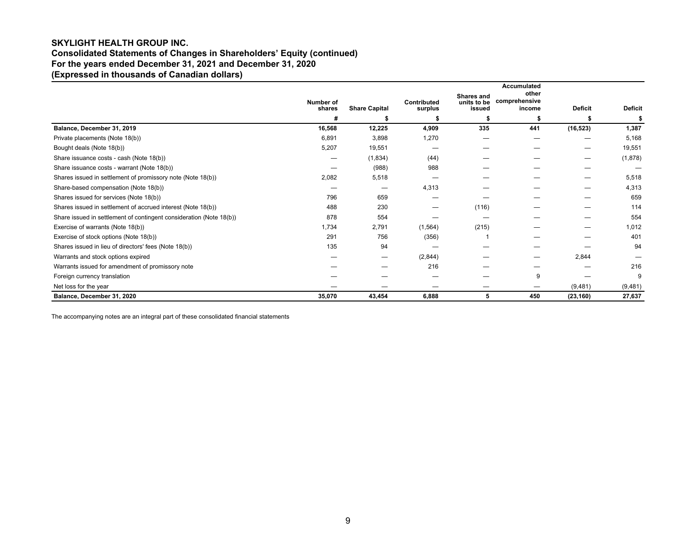# **SKYLIGHT HEALTH GROUP INC. Consolidated Statements of Changes in Shareholders' Equity (continued) For the years ended December 31, 2021 and December 31, 2020 (Expressed in thousands of Canadian dollars)**

|                                                                     |                     |                      |                        | <b>Shares and</b>     | <b>Accumulated</b><br>other |                |                |
|---------------------------------------------------------------------|---------------------|----------------------|------------------------|-----------------------|-----------------------------|----------------|----------------|
|                                                                     | Number of<br>shares | <b>Share Capital</b> | Contributed<br>surplus | units to be<br>issued | comprehensive<br>income     | <b>Deficit</b> | <b>Deficit</b> |
|                                                                     | #                   |                      |                        |                       |                             |                | S              |
| Balance, December 31, 2019                                          | 16,568              | 12,225               | 4,909                  | 335                   | 441                         | (16, 523)      | 1,387          |
| Private placements (Note 18(b))                                     | 6,891               | 3,898                | 1,270                  |                       |                             |                | 5,168          |
| Bought deals (Note 18(b))                                           | 5,207               | 19,551               |                        |                       |                             |                | 19,551         |
| Share issuance costs - cash (Note 18(b))                            |                     | (1, 834)             | (44)                   |                       |                             |                | (1,878)        |
| Share issuance costs - warrant (Note 18(b))                         |                     | (988)                | 988                    |                       |                             |                |                |
| Shares issued in settlement of promissory note (Note 18(b))         | 2,082               | 5,518                | –                      |                       |                             |                | 5,518          |
| Share-based compensation (Note 18(b))                               |                     |                      | 4,313                  |                       |                             |                | 4,313          |
| Shares issued for services (Note 18(b))                             | 796                 | 659                  | –                      |                       |                             |                | 659            |
| Shares issued in settlement of accrued interest (Note 18(b))        | 488                 | 230                  |                        | (116)                 |                             |                | 114            |
| Share issued in settlement of contingent consideration (Note 18(b)) | 878                 | 554                  |                        |                       |                             |                | 554            |
| Exercise of warrants (Note 18(b))                                   | 1,734               | 2,791                | (1, 564)               | (215)                 |                             |                | 1,012          |
| Exercise of stock options (Note 18(b))                              | 291                 | 756                  | (356)                  |                       |                             |                | 401            |
| Shares issued in lieu of directors' fees (Note 18(b))               | 135                 | 94                   |                        |                       |                             |                | 94             |
| Warrants and stock options expired                                  |                     | —                    | (2,844)                |                       |                             | 2,844          |                |
| Warrants issued for amendment of promissory note                    |                     |                      | 216                    |                       |                             |                | 216            |
| Foreign currency translation                                        |                     |                      |                        |                       | 9                           |                | 9              |
| Net loss for the year                                               |                     |                      |                        |                       |                             | (9,481)        | (9,481)        |
| Balance, December 31, 2020                                          | 35,070              | 43,454               | 6,888                  | 5                     | 450                         | (23, 160)      | 27,637         |

The accompanying notes are an integral part of these consolidated financial statements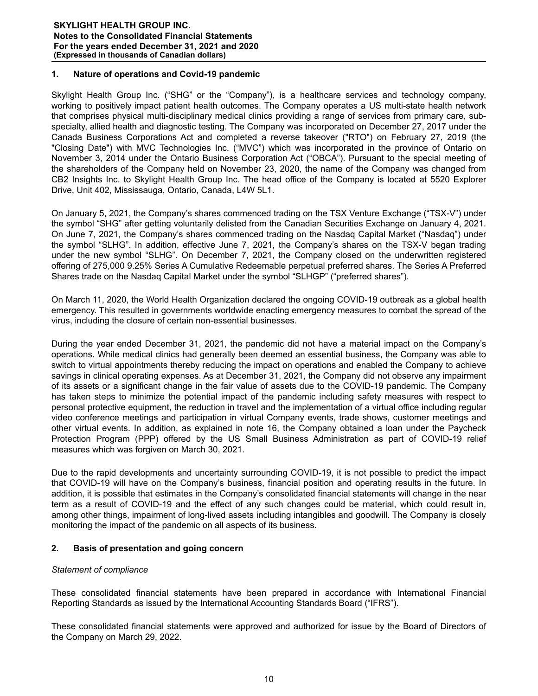# **1. Nature of operations and Covid-19 pandemic**

Skylight Health Group Inc. ("SHG" or the "Company"), is a healthcare services and technology company, working to positively impact patient health outcomes. The Company operates a US multi-state health network that comprises physical multi-disciplinary medical clinics providing a range of services from primary care, subspecialty, allied health and diagnostic testing. The Company was incorporated on December 27, 2017 under the Canada Business Corporations Act and completed a reverse takeover ("RTO") on February 27, 2019 (the "Closing Date") with MVC Technologies Inc. ("MVC") which was incorporated in the province of Ontario on November 3, 2014 under the Ontario Business Corporation Act ("OBCA"). Pursuant to the special meeting of the shareholders of the Company held on November 23, 2020, the name of the Company was changed from CB2 Insights Inc. to Skylight Health Group Inc. The head office of the Company is located at 5520 Explorer Drive, Unit 402, Mississauga, Ontario, Canada, L4W 5L1.

On January 5, 2021, the Company's shares commenced trading on the TSX Venture Exchange ("TSX-V") under the symbol "SHG" after getting voluntarily delisted from the Canadian Securities Exchange on January 4, 2021. On June 7, 2021, the Company's shares commenced trading on the Nasdaq Capital Market ("Nasdaq") under the symbol "SLHG". In addition, effective June 7, 2021, the Company's shares on the TSX-V began trading under the new symbol "SLHG". On December 7, 2021, the Company closed on the underwritten registered offering of 275,000 9.25% Series A Cumulative Redeemable perpetual preferred shares. The Series A Preferred Shares trade on the Nasdaq Capital Market under the symbol "SLHGP" ("preferred shares").

On March 11, 2020, the World Health Organization declared the ongoing COVID-19 outbreak as a global health emergency. This resulted in governments worldwide enacting emergency measures to combat the spread of the virus, including the closure of certain non-essential businesses.

During the year ended December 31, 2021, the pandemic did not have a material impact on the Company's operations. While medical clinics had generally been deemed an essential business, the Company was able to switch to virtual appointments thereby reducing the impact on operations and enabled the Company to achieve savings in clinical operating expenses. As at December 31, 2021, the Company did not observe any impairment of its assets or a significant change in the fair value of assets due to the COVID-19 pandemic. The Company has taken steps to minimize the potential impact of the pandemic including safety measures with respect to personal protective equipment, the reduction in travel and the implementation of a virtual office including regular video conference meetings and participation in virtual Company events, trade shows, customer meetings and other virtual events. In addition, as explained in note 16, the Company obtained a loan under the Paycheck Protection Program (PPP) offered by the US Small Business Administration as part of COVID-19 relief measures which was forgiven on March 30, 2021.

Due to the rapid developments and uncertainty surrounding COVID-19, it is not possible to predict the impact that COVID-19 will have on the Company's business, financial position and operating results in the future. In addition, it is possible that estimates in the Company's consolidated financial statements will change in the near term as a result of COVID-19 and the effect of any such changes could be material, which could result in, among other things, impairment of long-lived assets including intangibles and goodwill. The Company is closely monitoring the impact of the pandemic on all aspects of its business.

# **2. Basis of presentation and going concern**

# *Statement of compliance*

These consolidated financial statements have been prepared in accordance with International Financial Reporting Standards as issued by the International Accounting Standards Board ("IFRS").

These consolidated financial statements were approved and authorized for issue by the Board of Directors of the Company on March 29, 2022.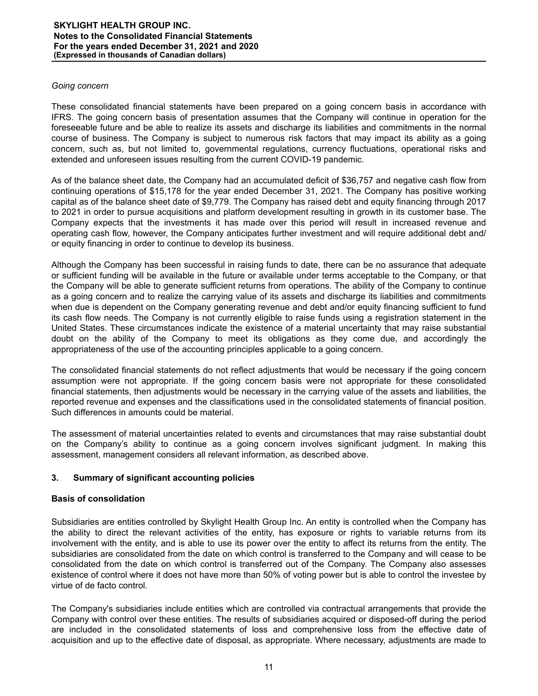# *Going concern*

These consolidated financial statements have been prepared on a going concern basis in accordance with IFRS. The going concern basis of presentation assumes that the Company will continue in operation for the foreseeable future and be able to realize its assets and discharge its liabilities and commitments in the normal course of business. The Company is subject to numerous risk factors that may impact its ability as a going concern, such as, but not limited to, governmental regulations, currency fluctuations, operational risks and extended and unforeseen issues resulting from the current COVID-19 pandemic.

As of the balance sheet date, the Company had an accumulated deficit of \$36,757 and negative cash flow from continuing operations of \$15,178 for the year ended December 31, 2021. The Company has positive working capital as of the balance sheet date of \$9,779. The Company has raised debt and equity financing through 2017 to 2021 in order to pursue acquisitions and platform development resulting in growth in its customer base. The Company expects that the investments it has made over this period will result in increased revenue and operating cash flow, however, the Company anticipates further investment and will require additional debt and/ or equity financing in order to continue to develop its business.

Although the Company has been successful in raising funds to date, there can be no assurance that adequate or sufficient funding will be available in the future or available under terms acceptable to the Company, or that the Company will be able to generate sufficient returns from operations. The ability of the Company to continue as a going concern and to realize the carrying value of its assets and discharge its liabilities and commitments when due is dependent on the Company generating revenue and debt and/or equity financing sufficient to fund its cash flow needs. The Company is not currently eligible to raise funds using a registration statement in the United States. These circumstances indicate the existence of a material uncertainty that may raise substantial doubt on the ability of the Company to meet its obligations as they come due, and accordingly the appropriateness of the use of the accounting principles applicable to a going concern.

The consolidated financial statements do not reflect adjustments that would be necessary if the going concern assumption were not appropriate. If the going concern basis were not appropriate for these consolidated financial statements, then adjustments would be necessary in the carrying value of the assets and liabilities, the reported revenue and expenses and the classifications used in the consolidated statements of financial position. Such differences in amounts could be material.

The assessment of material uncertainties related to events and circumstances that may raise substantial doubt on the Company's ability to continue as a going concern involves significant judgment. In making this assessment, management considers all relevant information, as described above.

# **3. Summary of significant accounting policies**

# **Basis of consolidation**

Subsidiaries are entities controlled by Skylight Health Group Inc. An entity is controlled when the Company has the ability to direct the relevant activities of the entity, has exposure or rights to variable returns from its involvement with the entity, and is able to use its power over the entity to affect its returns from the entity. The subsidiaries are consolidated from the date on which control is transferred to the Company and will cease to be consolidated from the date on which control is transferred out of the Company. The Company also assesses existence of control where it does not have more than 50% of voting power but is able to control the investee by virtue of de facto control.

The Company's subsidiaries include entities which are controlled via contractual arrangements that provide the Company with control over these entities. The results of subsidiaries acquired or disposed-off during the period are included in the consolidated statements of loss and comprehensive loss from the effective date of acquisition and up to the effective date of disposal, as appropriate. Where necessary, adjustments are made to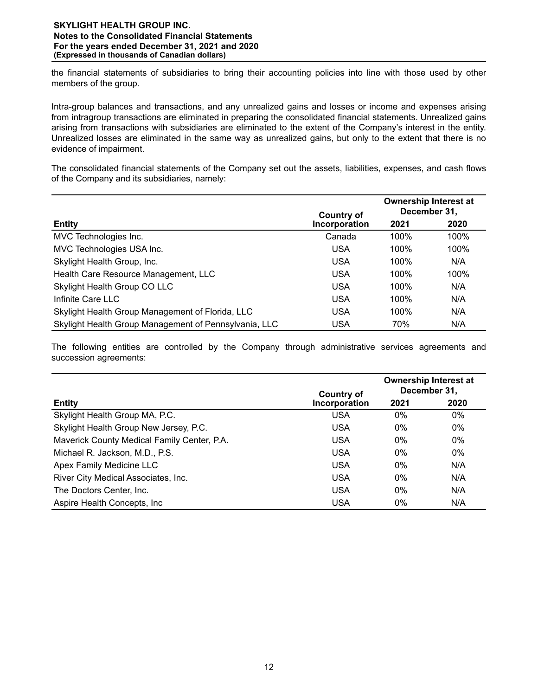the financial statements of subsidiaries to bring their accounting policies into line with those used by other members of the group.

Intra-group balances and transactions, and any unrealized gains and losses or income and expenses arising from intragroup transactions are eliminated in preparing the consolidated financial statements. Unrealized gains arising from transactions with subsidiaries are eliminated to the extent of the Company's interest in the entity. Unrealized losses are eliminated in the same way as unrealized gains, but only to the extent that there is no evidence of impairment.

The consolidated financial statements of the Company set out the assets, liabilities, expenses, and cash flows of the Company and its subsidiaries, namely:

|                                                       | <b>Country of</b> | <b>Ownership Interest at</b><br>December 31, |      |  |
|-------------------------------------------------------|-------------------|----------------------------------------------|------|--|
| <b>Entity</b>                                         | Incorporation     | 2021                                         | 2020 |  |
| MVC Technologies Inc.                                 | Canada            | 100%                                         | 100% |  |
| MVC Technologies USA Inc.                             | <b>USA</b>        | 100%                                         | 100% |  |
| Skylight Health Group, Inc.                           | <b>USA</b>        | 100%                                         | N/A  |  |
| Health Care Resource Management, LLC                  | <b>USA</b>        | 100%                                         | 100% |  |
| Skylight Health Group CO LLC                          | <b>USA</b>        | 100%                                         | N/A  |  |
| Infinite Care LLC                                     | <b>USA</b>        | 100%                                         | N/A  |  |
| Skylight Health Group Management of Florida, LLC      | USA               | 100%                                         | N/A  |  |
| Skylight Health Group Management of Pennsylvania, LLC | USA               | 70%                                          | N/A  |  |

The following entities are controlled by the Company through administrative services agreements and succession agreements:

|                                             | Country of    | <b>Ownership Interest at</b><br>December 31, |       |  |
|---------------------------------------------|---------------|----------------------------------------------|-------|--|
| <b>Entity</b>                               | Incorporation | 2021                                         | 2020  |  |
| Skylight Health Group MA, P.C.              | USA           | $0\%$                                        | $0\%$ |  |
| Skylight Health Group New Jersey, P.C.      | <b>USA</b>    | $0\%$                                        | $0\%$ |  |
| Maverick County Medical Family Center, P.A. | <b>USA</b>    | $0\%$                                        | $0\%$ |  |
| Michael R. Jackson, M.D., P.S.              | <b>USA</b>    | $0\%$                                        | $0\%$ |  |
| Apex Family Medicine LLC                    | <b>USA</b>    | $0\%$                                        | N/A   |  |
| River City Medical Associates, Inc.         | <b>USA</b>    | $0\%$                                        | N/A   |  |
| The Doctors Center, Inc.                    | <b>USA</b>    | $0\%$                                        | N/A   |  |
| Aspire Health Concepts, Inc.                | <b>USA</b>    | $0\%$                                        | N/A   |  |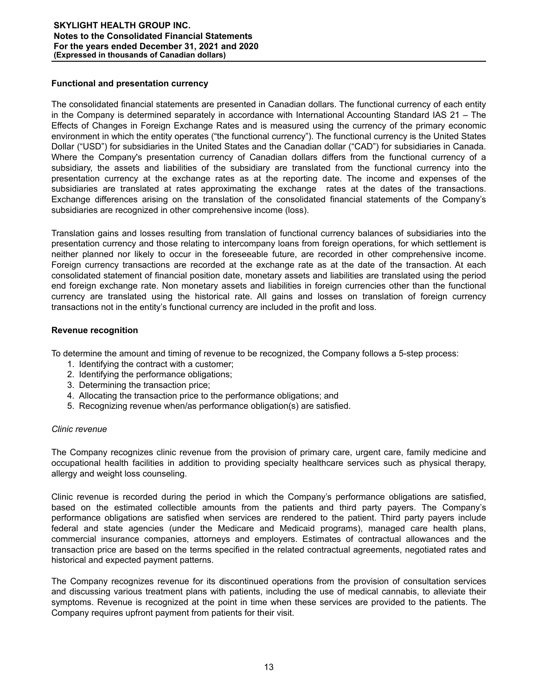# **Functional and presentation currency**

The consolidated financial statements are presented in Canadian dollars. The functional currency of each entity in the Company is determined separately in accordance with International Accounting Standard IAS 21 – The Effects of Changes in Foreign Exchange Rates and is measured using the currency of the primary economic environment in which the entity operates ("the functional currency"). The functional currency is the United States Dollar ("USD") for subsidiaries in the United States and the Canadian dollar ("CAD") for subsidiaries in Canada. Where the Company's presentation currency of Canadian dollars differs from the functional currency of a subsidiary, the assets and liabilities of the subsidiary are translated from the functional currency into the presentation currency at the exchange rates as at the reporting date. The income and expenses of the subsidiaries are translated at rates approximating the exchange rates at the dates of the transactions. Exchange differences arising on the translation of the consolidated financial statements of the Company's subsidiaries are recognized in other comprehensive income (loss).

Translation gains and losses resulting from translation of functional currency balances of subsidiaries into the presentation currency and those relating to intercompany loans from foreign operations, for which settlement is neither planned nor likely to occur in the foreseeable future, are recorded in other comprehensive income. Foreign currency transactions are recorded at the exchange rate as at the date of the transaction. At each consolidated statement of financial position date, monetary assets and liabilities are translated using the period end foreign exchange rate. Non monetary assets and liabilities in foreign currencies other than the functional currency are translated using the historical rate. All gains and losses on translation of foreign currency transactions not in the entity's functional currency are included in the profit and loss.

# **Revenue recognition**

To determine the amount and timing of revenue to be recognized, the Company follows a 5-step process:

- 1. Identifying the contract with a customer;
- 2. Identifying the performance obligations;
- 3. Determining the transaction price;
- 4. Allocating the transaction price to the performance obligations; and
- 5. Recognizing revenue when/as performance obligation(s) are satisfied.

#### *Clinic revenue*

The Company recognizes clinic revenue from the provision of primary care, urgent care, family medicine and occupational health facilities in addition to providing specialty healthcare services such as physical therapy, allergy and weight loss counseling.

Clinic revenue is recorded during the period in which the Company's performance obligations are satisfied, based on the estimated collectible amounts from the patients and third party payers. The Company's performance obligations are satisfied when services are rendered to the patient. Third party payers include federal and state agencies (under the Medicare and Medicaid programs), managed care health plans, commercial insurance companies, attorneys and employers. Estimates of contractual allowances and the transaction price are based on the terms specified in the related contractual agreements, negotiated rates and historical and expected payment patterns.

The Company recognizes revenue for its discontinued operations from the provision of consultation services and discussing various treatment plans with patients, including the use of medical cannabis, to alleviate their symptoms. Revenue is recognized at the point in time when these services are provided to the patients. The Company requires upfront payment from patients for their visit.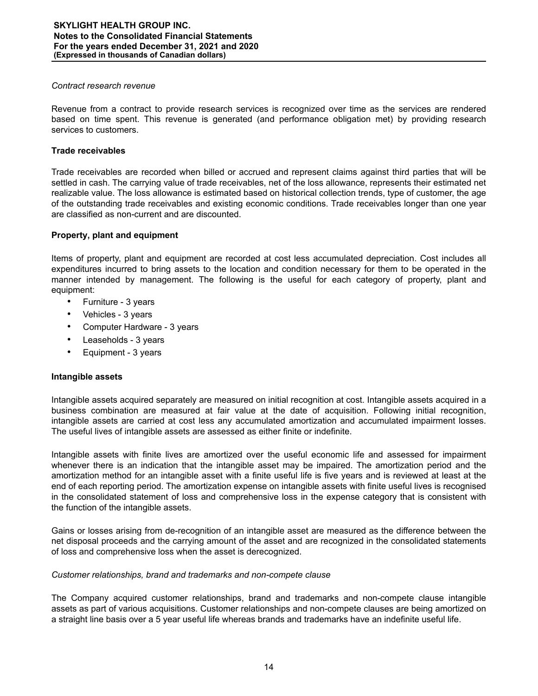#### *Contract research revenue*

Revenue from a contract to provide research services is recognized over time as the services are rendered based on time spent. This revenue is generated (and performance obligation met) by providing research services to customers.

# **Trade receivables**

Trade receivables are recorded when billed or accrued and represent claims against third parties that will be settled in cash. The carrying value of trade receivables, net of the loss allowance, represents their estimated net realizable value. The loss allowance is estimated based on historical collection trends, type of customer, the age of the outstanding trade receivables and existing economic conditions. Trade receivables longer than one year are classified as non-current and are discounted.

# **Property, plant and equipment**

Items of property, plant and equipment are recorded at cost less accumulated depreciation. Cost includes all expenditures incurred to bring assets to the location and condition necessary for them to be operated in the manner intended by management. The following is the useful for each category of property, plant and equipment:

- Furniture 3 years
- Vehicles 3 years
- Computer Hardware 3 years
- Leaseholds 3 years
- Equipment 3 years

# **Intangible assets**

Intangible assets acquired separately are measured on initial recognition at cost. Intangible assets acquired in a business combination are measured at fair value at the date of acquisition. Following initial recognition, intangible assets are carried at cost less any accumulated amortization and accumulated impairment losses. The useful lives of intangible assets are assessed as either finite or indefinite.

Intangible assets with finite lives are amortized over the useful economic life and assessed for impairment whenever there is an indication that the intangible asset may be impaired. The amortization period and the amortization method for an intangible asset with a finite useful life is five years and is reviewed at least at the end of each reporting period. The amortization expense on intangible assets with finite useful lives is recognised in the consolidated statement of loss and comprehensive loss in the expense category that is consistent with the function of the intangible assets.

Gains or losses arising from de-recognition of an intangible asset are measured as the difference between the net disposal proceeds and the carrying amount of the asset and are recognized in the consolidated statements of loss and comprehensive loss when the asset is derecognized.

# *Customer relationships, brand and trademarks and non-compete clause*

The Company acquired customer relationships, brand and trademarks and non-compete clause intangible assets as part of various acquisitions. Customer relationships and non-compete clauses are being amortized on a straight line basis over a 5 year useful life whereas brands and trademarks have an indefinite useful life.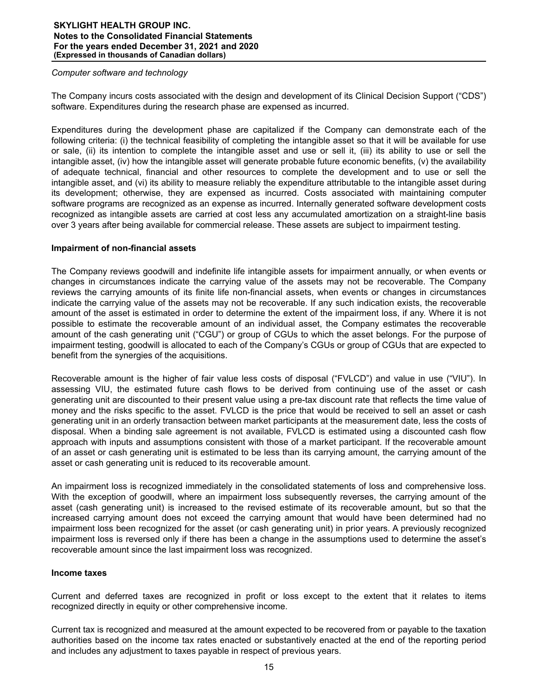#### *Computer software and technology*

The Company incurs costs associated with the design and development of its Clinical Decision Support ("CDS") software. Expenditures during the research phase are expensed as incurred.

Expenditures during the development phase are capitalized if the Company can demonstrate each of the following criteria: (i) the technical feasibility of completing the intangible asset so that it will be available for use or sale, (ii) its intention to complete the intangible asset and use or sell it, (iii) its ability to use or sell the intangible asset, (iv) how the intangible asset will generate probable future economic benefits, (v) the availability of adequate technical, financial and other resources to complete the development and to use or sell the intangible asset, and (vi) its ability to measure reliably the expenditure attributable to the intangible asset during its development; otherwise, they are expensed as incurred. Costs associated with maintaining computer software programs are recognized as an expense as incurred. Internally generated software development costs recognized as intangible assets are carried at cost less any accumulated amortization on a straight-line basis over 3 years after being available for commercial release. These assets are subject to impairment testing.

# **Impairment of non-financial assets**

The Company reviews goodwill and indefinite life intangible assets for impairment annually, or when events or changes in circumstances indicate the carrying value of the assets may not be recoverable. The Company reviews the carrying amounts of its finite life non-financial assets, when events or changes in circumstances indicate the carrying value of the assets may not be recoverable. If any such indication exists, the recoverable amount of the asset is estimated in order to determine the extent of the impairment loss, if any. Where it is not possible to estimate the recoverable amount of an individual asset, the Company estimates the recoverable amount of the cash generating unit ("CGU") or group of CGUs to which the asset belongs. For the purpose of impairment testing, goodwill is allocated to each of the Company's CGUs or group of CGUs that are expected to benefit from the synergies of the acquisitions.

Recoverable amount is the higher of fair value less costs of disposal ("FVLCD") and value in use ("VIU"). In assessing VIU, the estimated future cash flows to be derived from continuing use of the asset or cash generating unit are discounted to their present value using a pre-tax discount rate that reflects the time value of money and the risks specific to the asset. FVLCD is the price that would be received to sell an asset or cash generating unit in an orderly transaction between market participants at the measurement date, less the costs of disposal. When a binding sale agreement is not available, FVLCD is estimated using a discounted cash flow approach with inputs and assumptions consistent with those of a market participant. If the recoverable amount of an asset or cash generating unit is estimated to be less than its carrying amount, the carrying amount of the asset or cash generating unit is reduced to its recoverable amount.

An impairment loss is recognized immediately in the consolidated statements of loss and comprehensive loss. With the exception of goodwill, where an impairment loss subsequently reverses, the carrying amount of the asset (cash generating unit) is increased to the revised estimate of its recoverable amount, but so that the increased carrying amount does not exceed the carrying amount that would have been determined had no impairment loss been recognized for the asset (or cash generating unit) in prior years. A previously recognized impairment loss is reversed only if there has been a change in the assumptions used to determine the asset's recoverable amount since the last impairment loss was recognized.

# **Income taxes**

Current and deferred taxes are recognized in profit or loss except to the extent that it relates to items recognized directly in equity or other comprehensive income.

Current tax is recognized and measured at the amount expected to be recovered from or payable to the taxation authorities based on the income tax rates enacted or substantively enacted at the end of the reporting period and includes any adjustment to taxes payable in respect of previous years.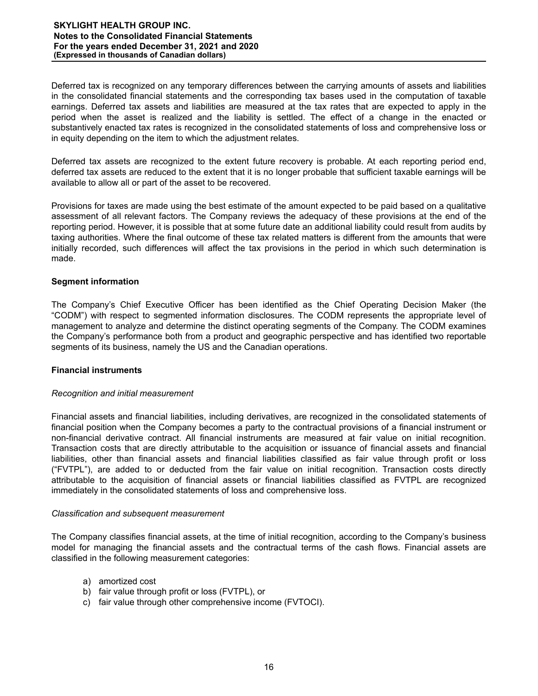Deferred tax is recognized on any temporary differences between the carrying amounts of assets and liabilities in the consolidated financial statements and the corresponding tax bases used in the computation of taxable earnings. Deferred tax assets and liabilities are measured at the tax rates that are expected to apply in the period when the asset is realized and the liability is settled. The effect of a change in the enacted or substantively enacted tax rates is recognized in the consolidated statements of loss and comprehensive loss or in equity depending on the item to which the adjustment relates.

Deferred tax assets are recognized to the extent future recovery is probable. At each reporting period end, deferred tax assets are reduced to the extent that it is no longer probable that sufficient taxable earnings will be available to allow all or part of the asset to be recovered.

Provisions for taxes are made using the best estimate of the amount expected to be paid based on a qualitative assessment of all relevant factors. The Company reviews the adequacy of these provisions at the end of the reporting period. However, it is possible that at some future date an additional liability could result from audits by taxing authorities. Where the final outcome of these tax related matters is different from the amounts that were initially recorded, such differences will affect the tax provisions in the period in which such determination is made.

# **Segment information**

The Company's Chief Executive Officer has been identified as the Chief Operating Decision Maker (the "CODM") with respect to segmented information disclosures. The CODM represents the appropriate level of management to analyze and determine the distinct operating segments of the Company. The CODM examines the Company's performance both from a product and geographic perspective and has identified two reportable segments of its business, namely the US and the Canadian operations.

#### **Financial instruments**

#### *Recognition and initial measurement*

Financial assets and financial liabilities, including derivatives, are recognized in the consolidated statements of financial position when the Company becomes a party to the contractual provisions of a financial instrument or non-financial derivative contract. All financial instruments are measured at fair value on initial recognition. Transaction costs that are directly attributable to the acquisition or issuance of financial assets and financial liabilities, other than financial assets and financial liabilities classified as fair value through profit or loss ("FVTPL"), are added to or deducted from the fair value on initial recognition. Transaction costs directly attributable to the acquisition of financial assets or financial liabilities classified as FVTPL are recognized immediately in the consolidated statements of loss and comprehensive loss.

#### *Classification and subsequent measurement*

The Company classifies financial assets, at the time of initial recognition, according to the Company's business model for managing the financial assets and the contractual terms of the cash flows. Financial assets are classified in the following measurement categories:

- a) amortized cost
- b) fair value through profit or loss (FVTPL), or
- c) fair value through other comprehensive income (FVTOCI).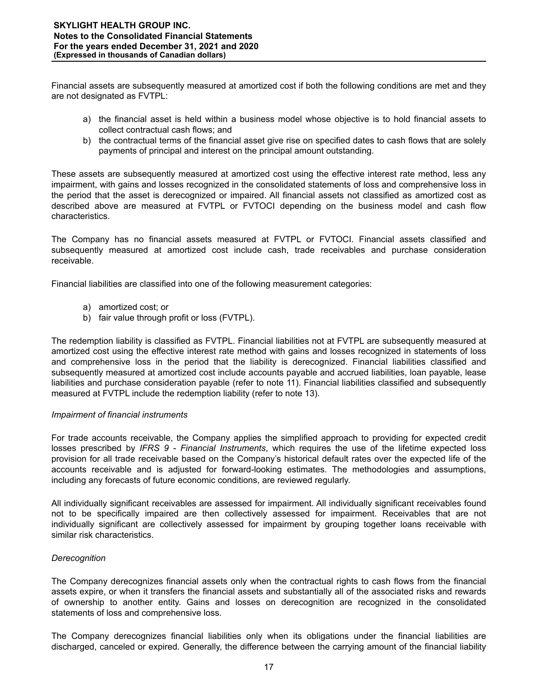Financial assets are subsequently measured at amortized cost if both the following conditions are met and they are not designated as FVTPL:

- a) the financial asset is held within a business model whose objective is to hold financial assets to collect contractual cash flows; and
- b) the contractual terms of the financial asset give rise on specified dates to cash flows that are solely payments of principal and interest on the principal amount outstanding.

These assets are subsequently measured at amortized cost using the effective interest rate method, less any impairment, with gains and losses recognized in the consolidated statements of loss and comprehensive loss in the period that the asset is derecognized or impaired. All financial assets not classified as amortized cost as described above are measured at FVTPL or FVTOCI depending on the business model and cash flow characteristics.

The Company has no financial assets measured at FVTPL or FVTOCI. Financial assets classified and subsequently measured at amortized cost include cash, trade receivables and purchase consideration receivable.

Financial liabilities are classified into one of the following measurement categories:

- a) amortized cost; or
- b) fair value through profit or loss (FVTPL).

The redemption liability is classified as FVTPL. Financial liabilities not at FVTPL are subsequently measured at amortized cost using the effective interest rate method with gains and losses recognized in statements of loss and comprehensive loss in the period that the liability is derecognized. Financial liabilities classified and subsequently measured at amortized cost include accounts payable and accrued liabilities, loan payable, lease liabilities and purchase consideration payable (refer to note 11). Financial liabilities classified and subsequently measured at FVTPL include the redemption liability (refer to note 13).

#### *Impairment of financial instruments*

For trade accounts receivable, the Company applies the simplified approach to providing for expected credit losses prescribed by *IFRS 9 - Financial Instruments*, which requires the use of the lifetime expected loss provision for all trade receivable based on the Company's historical default rates over the expected life of the accounts receivable and is adjusted for forward-looking estimates. The methodologies and assumptions, including any forecasts of future economic conditions, are reviewed regularly.

All individually significant receivables are assessed for impairment. All individually significant receivables found not to be specifically impaired are then collectively assessed for impairment. Receivables that are not individually significant are collectively assessed for impairment by grouping together loans receivable with similar risk characteristics.

# *Derecognition*

The Company derecognizes financial assets only when the contractual rights to cash flows from the financial assets expire, or when it transfers the financial assets and substantially all of the associated risks and rewards of ownership to another entity. Gains and losses on derecognition are recognized in the consolidated statements of loss and comprehensive loss.

The Company derecognizes financial liabilities only when its obligations under the financial liabilities are discharged, canceled or expired. Generally, the difference between the carrying amount of the financial liability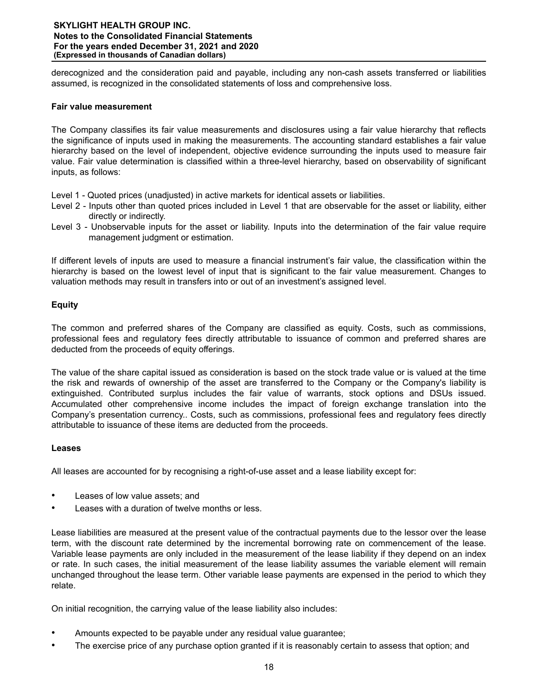derecognized and the consideration paid and payable, including any non-cash assets transferred or liabilities assumed, is recognized in the consolidated statements of loss and comprehensive loss.

#### **Fair value measurement**

The Company classifies its fair value measurements and disclosures using a fair value hierarchy that reflects the significance of inputs used in making the measurements. The accounting standard establishes a fair value hierarchy based on the level of independent, objective evidence surrounding the inputs used to measure fair value. Fair value determination is classified within a three-level hierarchy, based on observability of significant inputs, as follows:

- Level 1 Quoted prices (unadjusted) in active markets for identical assets or liabilities.
- Level 2 Inputs other than quoted prices included in Level 1 that are observable for the asset or liability, either directly or indirectly.
- Level 3 Unobservable inputs for the asset or liability. Inputs into the determination of the fair value require management judgment or estimation.

If different levels of inputs are used to measure a financial instrument's fair value, the classification within the hierarchy is based on the lowest level of input that is significant to the fair value measurement. Changes to valuation methods may result in transfers into or out of an investment's assigned level.

# **Equity**

The common and preferred shares of the Company are classified as equity. Costs, such as commissions, professional fees and regulatory fees directly attributable to issuance of common and preferred shares are deducted from the proceeds of equity offerings.

The value of the share capital issued as consideration is based on the stock trade value or is valued at the time the risk and rewards of ownership of the asset are transferred to the Company or the Company's liability is extinguished. Contributed surplus includes the fair value of warrants, stock options and DSUs issued. Accumulated other comprehensive income includes the impact of foreign exchange translation into the Company's presentation currency.. Costs, such as commissions, professional fees and regulatory fees directly attributable to issuance of these items are deducted from the proceeds.

#### **Leases**

All leases are accounted for by recognising a right-of-use asset and a lease liability except for:

- Leases of low value assets; and
- Leases with a duration of twelve months or less.

Lease liabilities are measured at the present value of the contractual payments due to the lessor over the lease term, with the discount rate determined by the incremental borrowing rate on commencement of the lease. Variable lease payments are only included in the measurement of the lease liability if they depend on an index or rate. In such cases, the initial measurement of the lease liability assumes the variable element will remain unchanged throughout the lease term. Other variable lease payments are expensed in the period to which they relate.

On initial recognition, the carrying value of the lease liability also includes:

- Amounts expected to be payable under any residual value guarantee;
- The exercise price of any purchase option granted if it is reasonably certain to assess that option; and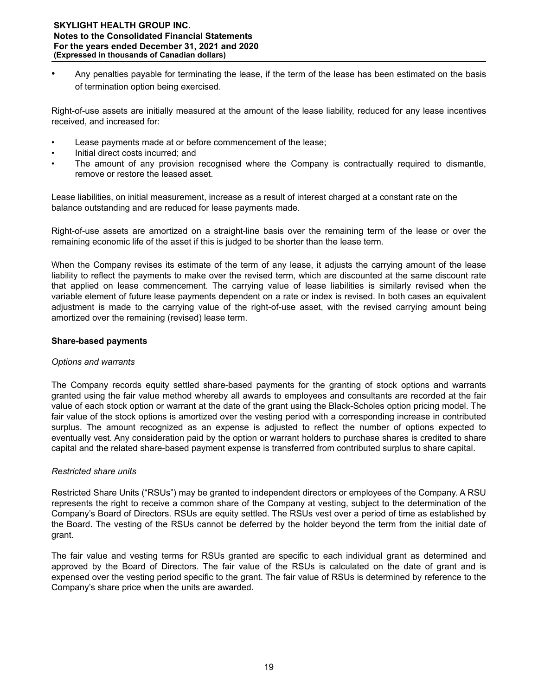• Any penalties payable for terminating the lease, if the term of the lease has been estimated on the basis of termination option being exercised.

Right-of-use assets are initially measured at the amount of the lease liability, reduced for any lease incentives received, and increased for:

- Lease payments made at or before commencement of the lease;
- Initial direct costs incurred; and
- The amount of any provision recognised where the Company is contractually required to dismantle, remove or restore the leased asset.

Lease liabilities, on initial measurement, increase as a result of interest charged at a constant rate on the balance outstanding and are reduced for lease payments made.

Right-of-use assets are amortized on a straight-line basis over the remaining term of the lease or over the remaining economic life of the asset if this is judged to be shorter than the lease term.

When the Company revises its estimate of the term of any lease, it adjusts the carrying amount of the lease liability to reflect the payments to make over the revised term, which are discounted at the same discount rate that applied on lease commencement. The carrying value of lease liabilities is similarly revised when the variable element of future lease payments dependent on a rate or index is revised. In both cases an equivalent adjustment is made to the carrying value of the right-of-use asset, with the revised carrying amount being amortized over the remaining (revised) lease term.

# **Share-based payments**

# *Options and warrants*

The Company records equity settled share-based payments for the granting of stock options and warrants granted using the fair value method whereby all awards to employees and consultants are recorded at the fair value of each stock option or warrant at the date of the grant using the Black-Scholes option pricing model. The fair value of the stock options is amortized over the vesting period with a corresponding increase in contributed surplus. The amount recognized as an expense is adjusted to reflect the number of options expected to eventually vest. Any consideration paid by the option or warrant holders to purchase shares is credited to share capital and the related share-based payment expense is transferred from contributed surplus to share capital.

# *Restricted share units*

Restricted Share Units ("RSUs") may be granted to independent directors or employees of the Company. A RSU represents the right to receive a common share of the Company at vesting, subject to the determination of the Company's Board of Directors. RSUs are equity settled. The RSUs vest over a period of time as established by the Board. The vesting of the RSUs cannot be deferred by the holder beyond the term from the initial date of grant.

The fair value and vesting terms for RSUs granted are specific to each individual grant as determined and approved by the Board of Directors. The fair value of the RSUs is calculated on the date of grant and is expensed over the vesting period specific to the grant. The fair value of RSUs is determined by reference to the Company's share price when the units are awarded.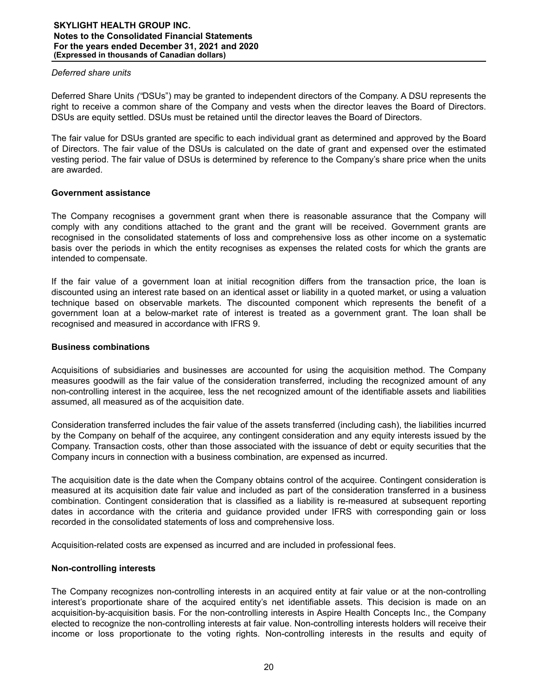#### *Deferred share units*

Deferred Share Units *("*DSUs") may be granted to independent directors of the Company. A DSU represents the right to receive a common share of the Company and vests when the director leaves the Board of Directors. DSUs are equity settled. DSUs must be retained until the director leaves the Board of Directors.

The fair value for DSUs granted are specific to each individual grant as determined and approved by the Board of Directors. The fair value of the DSUs is calculated on the date of grant and expensed over the estimated vesting period. The fair value of DSUs is determined by reference to the Company's share price when the units are awarded.

# **Government assistance**

The Company recognises a government grant when there is reasonable assurance that the Company will comply with any conditions attached to the grant and the grant will be received. Government grants are recognised in the consolidated statements of loss and comprehensive loss as other income on a systematic basis over the periods in which the entity recognises as expenses the related costs for which the grants are intended to compensate.

If the fair value of a government loan at initial recognition differs from the transaction price, the loan is discounted using an interest rate based on an identical asset or liability in a quoted market, or using a valuation technique based on observable markets. The discounted component which represents the benefit of a government loan at a below-market rate of interest is treated as a government grant. The loan shall be recognised and measured in accordance with IFRS 9.

# **Business combinations**

Acquisitions of subsidiaries and businesses are accounted for using the acquisition method. The Company measures goodwill as the fair value of the consideration transferred, including the recognized amount of any non-controlling interest in the acquiree, less the net recognized amount of the identifiable assets and liabilities assumed, all measured as of the acquisition date.

Consideration transferred includes the fair value of the assets transferred (including cash), the liabilities incurred by the Company on behalf of the acquiree, any contingent consideration and any equity interests issued by the Company. Transaction costs, other than those associated with the issuance of debt or equity securities that the Company incurs in connection with a business combination, are expensed as incurred.

The acquisition date is the date when the Company obtains control of the acquiree. Contingent consideration is measured at its acquisition date fair value and included as part of the consideration transferred in a business combination. Contingent consideration that is classified as a liability is re-measured at subsequent reporting dates in accordance with the criteria and guidance provided under IFRS with corresponding gain or loss recorded in the consolidated statements of loss and comprehensive loss.

Acquisition-related costs are expensed as incurred and are included in professional fees.

# **Non-controlling interests**

The Company recognizes non-controlling interests in an acquired entity at fair value or at the non-controlling interest's proportionate share of the acquired entity's net identifiable assets. This decision is made on an acquisition-by-acquisition basis. For the non-controlling interests in Aspire Health Concepts Inc., the Company elected to recognize the non-controlling interests at fair value. Non-controlling interests holders will receive their income or loss proportionate to the voting rights. Non-controlling interests in the results and equity of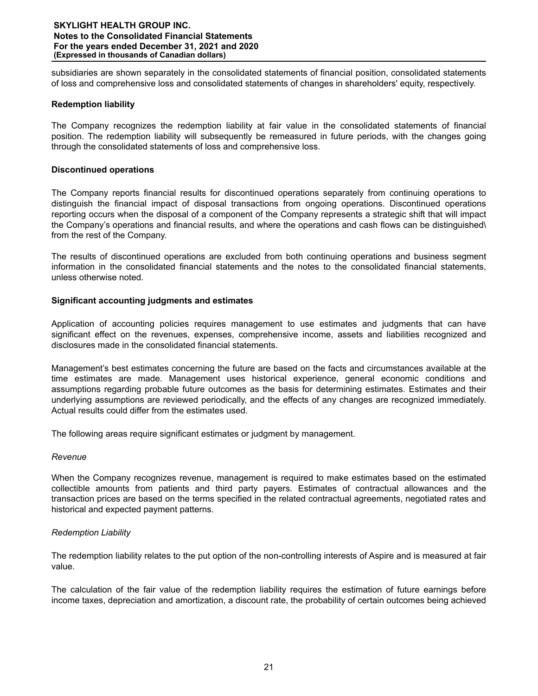subsidiaries are shown separately in the consolidated statements of financial position, consolidated statements of loss and comprehensive loss and consolidated statements of changes in shareholders' equity, respectively.

# **Redemption liability**

The Company recognizes the redemption liability at fair value in the consolidated statements of financial position. The redemption liability will subsequently be remeasured in future periods, with the changes going through the consolidated statements of loss and comprehensive loss.

# **Discontinued operations**

The Company reports financial results for discontinued operations separately from continuing operations to distinguish the financial impact of disposal transactions from ongoing operations. Discontinued operations reporting occurs when the disposal of a component of the Company represents a strategic shift that will impact the Company's operations and financial results, and where the operations and cash flows can be distinguished\ from the rest of the Company.

The results of discontinued operations are excluded from both continuing operations and business segment information in the consolidated financial statements and the notes to the consolidated financial statements, unless otherwise noted.

# **Significant accounting judgments and estimates**

Application of accounting policies requires management to use estimates and judgments that can have significant effect on the revenues, expenses, comprehensive income, assets and liabilities recognized and disclosures made in the consolidated financial statements.

Management's best estimates concerning the future are based on the facts and circumstances available at the time estimates are made. Management uses historical experience, general economic conditions and assumptions regarding probable future outcomes as the basis for determining estimates. Estimates and their underlying assumptions are reviewed periodically, and the effects of any changes are recognized immediately. Actual results could differ from the estimates used.

The following areas require significant estimates or judgment by management.

# *Revenue*

When the Company recognizes revenue, management is required to make estimates based on the estimated collectible amounts from patients and third party payers. Estimates of contractual allowances and the transaction prices are based on the terms specified in the related contractual agreements, negotiated rates and historical and expected payment patterns.

# *Redemption Liability*

The redemption liability relates to the put option of the non-controlling interests of Aspire and is measured at fair value.

The calculation of the fair value of the redemption liability requires the estimation of future earnings before income taxes, depreciation and amortization, a discount rate, the probability of certain outcomes being achieved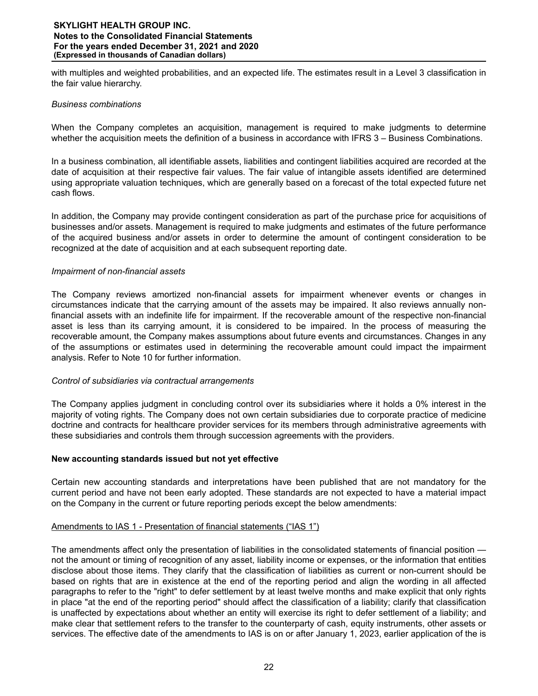with multiples and weighted probabilities, and an expected life. The estimates result in a Level 3 classification in the fair value hierarchy.

#### *Business combinations*

When the Company completes an acquisition, management is required to make judgments to determine whether the acquisition meets the definition of a business in accordance with IFRS 3 – Business Combinations.

In a business combination, all identifiable assets, liabilities and contingent liabilities acquired are recorded at the date of acquisition at their respective fair values. The fair value of intangible assets identified are determined using appropriate valuation techniques, which are generally based on a forecast of the total expected future net cash flows.

In addition, the Company may provide contingent consideration as part of the purchase price for acquisitions of businesses and/or assets. Management is required to make judgments and estimates of the future performance of the acquired business and/or assets in order to determine the amount of contingent consideration to be recognized at the date of acquisition and at each subsequent reporting date.

# *Impairment of non-financial assets*

The Company reviews amortized non-financial assets for impairment whenever events or changes in circumstances indicate that the carrying amount of the assets may be impaired. It also reviews annually nonfinancial assets with an indefinite life for impairment. If the recoverable amount of the respective non-financial asset is less than its carrying amount, it is considered to be impaired. In the process of measuring the recoverable amount, the Company makes assumptions about future events and circumstances. Changes in any of the assumptions or estimates used in determining the recoverable amount could impact the impairment analysis. Refer to Note 10 for further information.

#### *Control of subsidiaries via contractual arrangements*

The Company applies judgment in concluding control over its subsidiaries where it holds a 0% interest in the majority of voting rights. The Company does not own certain subsidiaries due to corporate practice of medicine doctrine and contracts for healthcare provider services for its members through administrative agreements with these subsidiaries and controls them through succession agreements with the providers.

# **New accounting standards issued but not yet effective**

Certain new accounting standards and interpretations have been published that are not mandatory for the current period and have not been early adopted. These standards are not expected to have a material impact on the Company in the current or future reporting periods except the below amendments:

# Amendments to IAS 1 - Presentation of financial statements ("IAS 1")

The amendments affect only the presentation of liabilities in the consolidated statements of financial position not the amount or timing of recognition of any asset, liability income or expenses, or the information that entities disclose about those items. They clarify that the classification of liabilities as current or non-current should be based on rights that are in existence at the end of the reporting period and align the wording in all affected paragraphs to refer to the "right" to defer settlement by at least twelve months and make explicit that only rights in place "at the end of the reporting period" should affect the classification of a liability; clarify that classification is unaffected by expectations about whether an entity will exercise its right to defer settlement of a liability; and make clear that settlement refers to the transfer to the counterparty of cash, equity instruments, other assets or services. The effective date of the amendments to IAS is on or after January 1, 2023, earlier application of the is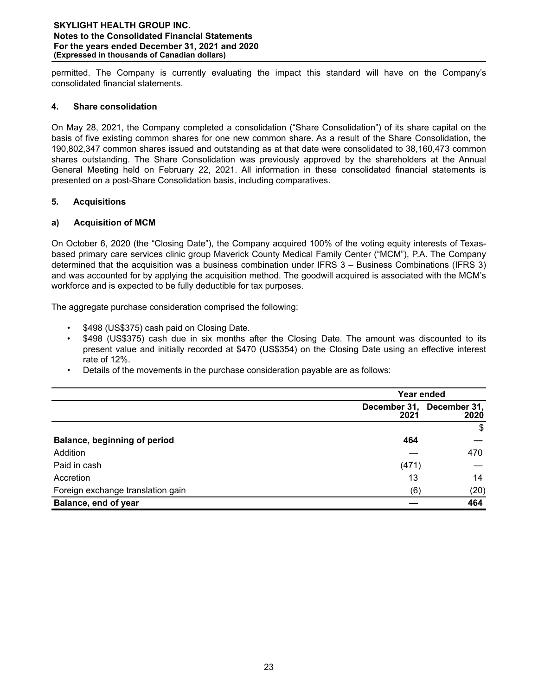permitted. The Company is currently evaluating the impact this standard will have on the Company's consolidated financial statements.

# **4. Share consolidation**

On May 28, 2021, the Company completed a consolidation ("Share Consolidation") of its share capital on the basis of five existing common shares for one new common share. As a result of the Share Consolidation, the 190,802,347 common shares issued and outstanding as at that date were consolidated to 38,160,473 common shares outstanding. The Share Consolidation was previously approved by the shareholders at the Annual General Meeting held on February 22, 2021. All information in these consolidated financial statements is presented on a post-Share Consolidation basis, including comparatives.

# **5. Acquisitions**

# **a) Acquisition of MCM**

On October 6, 2020 (the "Closing Date"), the Company acquired 100% of the voting equity interests of Texasbased primary care services clinic group Maverick County Medical Family Center ("MCM"), P.A. The Company determined that the acquisition was a business combination under IFRS 3 – Business Combinations (IFRS 3) and was accounted for by applying the acquisition method. The goodwill acquired is associated with the MCM's workforce and is expected to be fully deductible for tax purposes.

The aggregate purchase consideration comprised the following:

- \$498 (US\$375) cash paid on Closing Date.
- \$498 (US\$375) cash due in six months after the Closing Date. The amount was discounted to its present value and initially recorded at \$470 (US\$354) on the Closing Date using an effective interest rate of 12%.
- Details of the movements in the purchase consideration payable are as follows:

|                                   | <b>Year ended</b>                 |      |  |
|-----------------------------------|-----------------------------------|------|--|
|                                   | December 31, December 31,<br>2021 |      |  |
|                                   |                                   | \$   |  |
| Balance, beginning of period      | 464                               |      |  |
| Addition                          |                                   | 470  |  |
| Paid in cash                      | (471)                             |      |  |
| Accretion                         | 13                                | 14   |  |
| Foreign exchange translation gain | (6)                               | (20) |  |
| Balance, end of year              |                                   | 464  |  |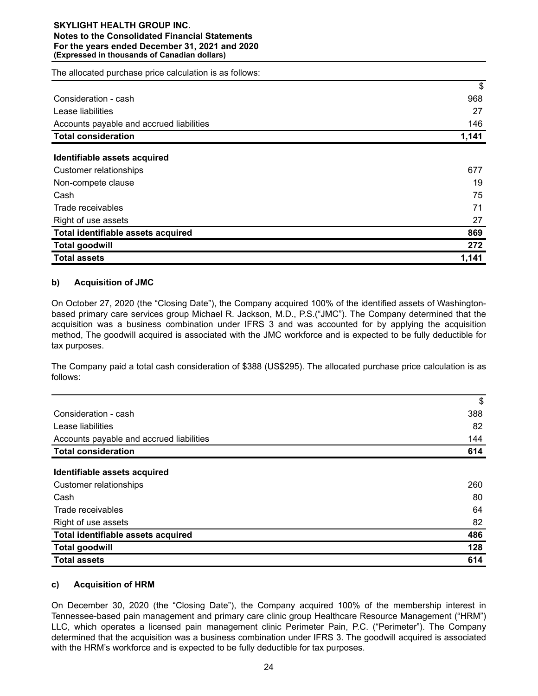The allocated purchase price calculation is as follows:

| <b>Total consideration</b>               | 1.141 |
|------------------------------------------|-------|
| Accounts payable and accrued liabilities | 146   |
| Lease liabilities                        | 27    |
| Consideration - cash                     | 968   |
|                                          |       |

# **Identifiable assets acquired**

| Customer relationships             | 677   |
|------------------------------------|-------|
| Non-compete clause                 | 19    |
| Cash                               | 75    |
| Trade receivables                  | 71    |
| Right of use assets                | 27    |
| Total identifiable assets acquired | 869   |
| <b>Total goodwill</b>              | 272   |
| <b>Total assets</b>                | 1,141 |

# **b) Acquisition of JMC**

On October 27, 2020 (the "Closing Date"), the Company acquired 100% of the identified assets of Washingtonbased primary care services group Michael R. Jackson, M.D., P.S.("JMC"). The Company determined that the acquisition was a business combination under IFRS 3 and was accounted for by applying the acquisition method, The goodwill acquired is associated with the JMC workforce and is expected to be fully deductible for tax purposes.

The Company paid a total cash consideration of \$388 (US\$295). The allocated purchase price calculation is as follows:

|                                          | \$  |
|------------------------------------------|-----|
| Consideration - cash                     | 388 |
| Lease liabilities                        | 82  |
| Accounts payable and accrued liabilities | 144 |
| <b>Total consideration</b>               | 614 |
|                                          |     |
| Identifiable assets acquired             |     |
| <b>Customer relationships</b>            | 260 |
| Cash                                     | 80  |
| Trade receivables                        | 64  |
| Right of use assets                      | 82  |
| Total identifiable assets acquired       | 486 |
| <b>Total goodwill</b>                    | 128 |
| <b>Total assets</b>                      | 614 |

# **c) Acquisition of HRM**

On December 30, 2020 (the "Closing Date"), the Company acquired 100% of the membership interest in Tennessee-based pain management and primary care clinic group Healthcare Resource Management ("HRM") LLC, which operates a licensed pain management clinic Perimeter Pain, P.C. ("Perimeter"). The Company determined that the acquisition was a business combination under IFRS 3. The goodwill acquired is associated with the HRM's workforce and is expected to be fully deductible for tax purposes.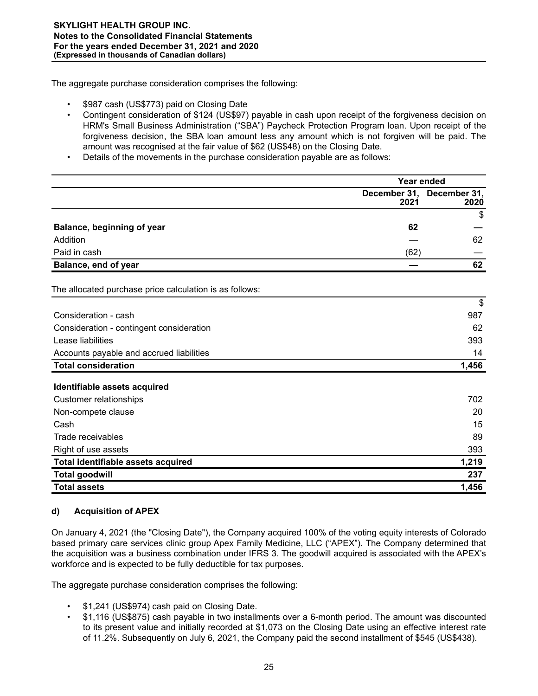The aggregate purchase consideration comprises the following:

- \$987 cash (US\$773) paid on Closing Date
- Contingent consideration of \$124 (US\$97) payable in cash upon receipt of the forgiveness decision on HRM's Small Business Administration ("SBA") Paycheck Protection Program loan. Upon receipt of the forgiveness decision, the SBA loan amount less any amount which is not forgiven will be paid. The amount was recognised at the fair value of \$62 (US\$48) on the Closing Date.
- Details of the movements in the purchase consideration payable are as follows:

|                                                         | <b>Year ended</b> |                                   |
|---------------------------------------------------------|-------------------|-----------------------------------|
|                                                         | 2021              | December 31, December 31,<br>2020 |
|                                                         |                   | \$                                |
| Balance, beginning of year                              | 62                |                                   |
| Addition                                                |                   | 62                                |
| Paid in cash                                            | (62)              |                                   |
| Balance, end of year                                    |                   | 62                                |
| The allocated purchase price calculation is as follows: |                   |                                   |
|                                                         |                   | $\boldsymbol{\mathsf{S}}$         |
| Consideration - cash                                    |                   | 987                               |
| Consideration - contingent consideration                |                   | 62                                |
| Lease liabilities                                       |                   | 393                               |
| Accounts payable and accrued liabilities                |                   | 14                                |
| <b>Total consideration</b>                              |                   | 1,456                             |
| Identifiable assets acquired                            |                   |                                   |
| <b>Customer relationships</b>                           |                   | 702                               |
| Non-compete clause                                      |                   | 20                                |
| Cash                                                    |                   | 15                                |
| Trade receivables                                       |                   | 89                                |
| Right of use assets                                     |                   | 393                               |
| Total identifiable assets acquired                      |                   | 1,219                             |
| <b>Total goodwill</b>                                   |                   | 237                               |
| <b>Total assets</b>                                     |                   | 1,456                             |

# **d) Acquisition of APEX**

On January 4, 2021 (the "Closing Date"), the Company acquired 100% of the voting equity interests of Colorado based primary care services clinic group Apex Family Medicine, LLC ("APEX"). The Company determined that the acquisition was a business combination under IFRS 3. The goodwill acquired is associated with the APEX's workforce and is expected to be fully deductible for tax purposes.

The aggregate purchase consideration comprises the following:

- \$1,241 (US\$974) cash paid on Closing Date.
- \$1,116 (US\$875) cash payable in two installments over a 6-month period. The amount was discounted to its present value and initially recorded at \$1,073 on the Closing Date using an effective interest rate of 11.2%. Subsequently on July 6, 2021, the Company paid the second installment of \$545 (US\$438).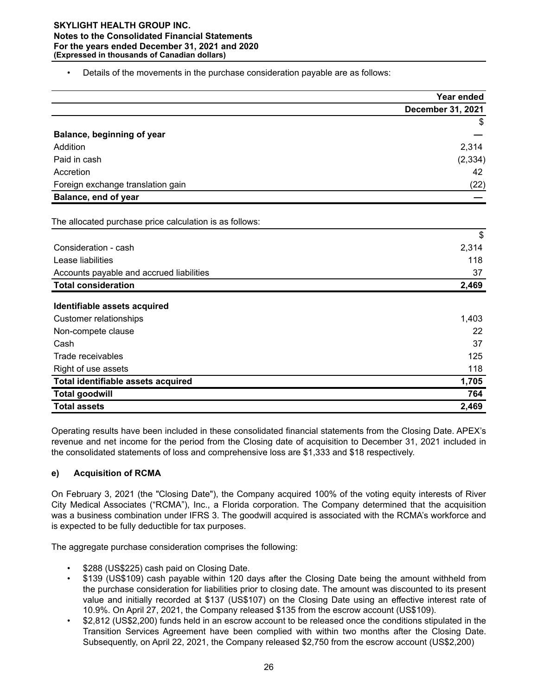• Details of the movements in the purchase consideration payable are as follows:

|                                                         | Year ended                |
|---------------------------------------------------------|---------------------------|
|                                                         | <b>December 31, 2021</b>  |
|                                                         | \$                        |
| Balance, beginning of year                              |                           |
| Addition                                                | 2,314                     |
| Paid in cash                                            | (2, 334)                  |
| Accretion                                               | 42                        |
| Foreign exchange translation gain                       | (22)                      |
| Balance, end of year                                    |                           |
| The allocated purchase price calculation is as follows: |                           |
|                                                         | $\boldsymbol{\mathsf{S}}$ |
| Consideration - cash                                    | 2,314                     |
| Lease liabilities                                       | 118                       |
| Accounts payable and accrued liabilities                | 37                        |
| <b>Total consideration</b>                              | 2,469                     |
| Identifiable assets acquired                            |                           |
| <b>Customer relationships</b>                           | 1,403                     |
| Non-compete clause                                      | 22                        |
| Cash                                                    | 37                        |
| Trade receivables                                       | 125                       |
| Right of use assets                                     | 118                       |
| Total identifiable assets acquired                      | 1,705                     |
| <b>Total goodwill</b>                                   | 764                       |
| <b>Total assets</b>                                     | 2,469                     |

Operating results have been included in these consolidated financial statements from the Closing Date. APEX's revenue and net income for the period from the Closing date of acquisition to December 31, 2021 included in the consolidated statements of loss and comprehensive loss are \$1,333 and \$18 respectively.

# **e) Acquisition of RCMA**

On February 3, 2021 (the "Closing Date"), the Company acquired 100% of the voting equity interests of River City Medical Associates ("RCMA"), Inc., a Florida corporation. The Company determined that the acquisition was a business combination under IFRS 3. The goodwill acquired is associated with the RCMA's workforce and is expected to be fully deductible for tax purposes.

The aggregate purchase consideration comprises the following:

- \$288 (US\$225) cash paid on Closing Date.
- \$139 (US\$109) cash payable within 120 days after the Closing Date being the amount withheld from the purchase consideration for liabilities prior to closing date. The amount was discounted to its present value and initially recorded at \$137 (US\$107) on the Closing Date using an effective interest rate of 10.9%. On April 27, 2021, the Company released \$135 from the escrow account (US\$109).
- \$2,812 (US\$2,200) funds held in an escrow account to be released once the conditions stipulated in the Transition Services Agreement have been complied with within two months after the Closing Date. Subsequently, on April 22, 2021, the Company released \$2,750 from the escrow account (US\$2,200)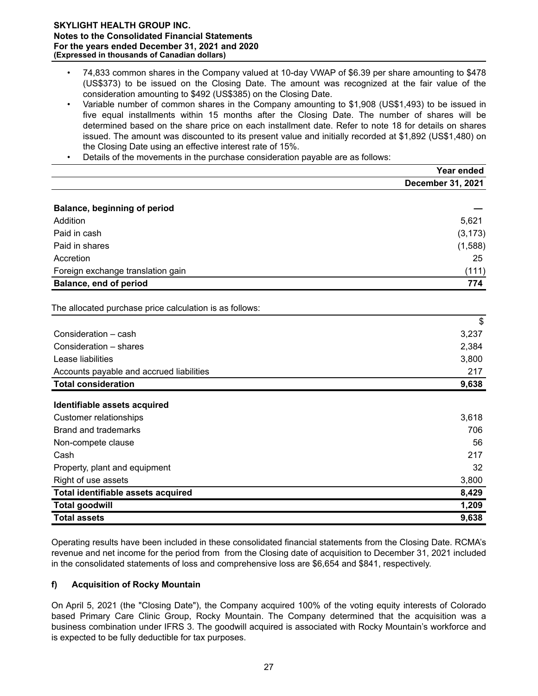- 74,833 common shares in the Company valued at 10-day VWAP of \$6.39 per share amounting to \$478 (US\$373) to be issued on the Closing Date. The amount was recognized at the fair value of the consideration amounting to \$492 (US\$385) on the Closing Date.
- Variable number of common shares in the Company amounting to \$1,908 (US\$1,493) to be issued in five equal installments within 15 months after the Closing Date. The number of shares will be determined based on the share price on each installment date. Refer to note 18 for details on shares issued. The amount was discounted to its present value and initially recorded at \$1,892 (US\$1,480) on the Closing Date using an effective interest rate of 15%.
- Details of the movements in the purchase consideration payable are as follows:

|                                                         | Year ended               |
|---------------------------------------------------------|--------------------------|
|                                                         | <b>December 31, 2021</b> |
| <b>Balance, beginning of period</b>                     |                          |
| Addition                                                | 5,621                    |
| Paid in cash                                            | (3, 173)                 |
| Paid in shares                                          | (1,588)                  |
| Accretion                                               | 25                       |
| Foreign exchange translation gain                       | (111)                    |
| Balance, end of period                                  | 774                      |
|                                                         |                          |
| The allocated purchase price calculation is as follows: |                          |
|                                                         | \$                       |
| Consideration - cash                                    | 3,237                    |
| Consideration - shares                                  | 2,384                    |
| Lease liabilities                                       | 3,800                    |
| Accounts payable and accrued liabilities                | 217                      |
| <b>Total consideration</b>                              | 9,638                    |
| Identifiable assets acquired                            |                          |
| <b>Customer relationships</b>                           | 3,618                    |
| <b>Brand and trademarks</b>                             | 706                      |
| Non-compete clause                                      | 56                       |
| Cash                                                    | 217                      |
| Property, plant and equipment                           | 32                       |
| Right of use assets                                     | 3,800                    |
| Total identifiable assets acquired                      | 8,429                    |
| <b>Total goodwill</b>                                   | 1,209                    |
| <b>Total assets</b>                                     | 9,638                    |

Operating results have been included in these consolidated financial statements from the Closing Date. RCMA's revenue and net income for the period from from the Closing date of acquisition to December 31, 2021 included in the consolidated statements of loss and comprehensive loss are \$6,654 and \$841, respectively.

# **f) Acquisition of Rocky Mountain**

On April 5, 2021 (the "Closing Date"), the Company acquired 100% of the voting equity interests of Colorado based Primary Care Clinic Group, Rocky Mountain. The Company determined that the acquisition was a business combination under IFRS 3. The goodwill acquired is associated with Rocky Mountain's workforce and is expected to be fully deductible for tax purposes.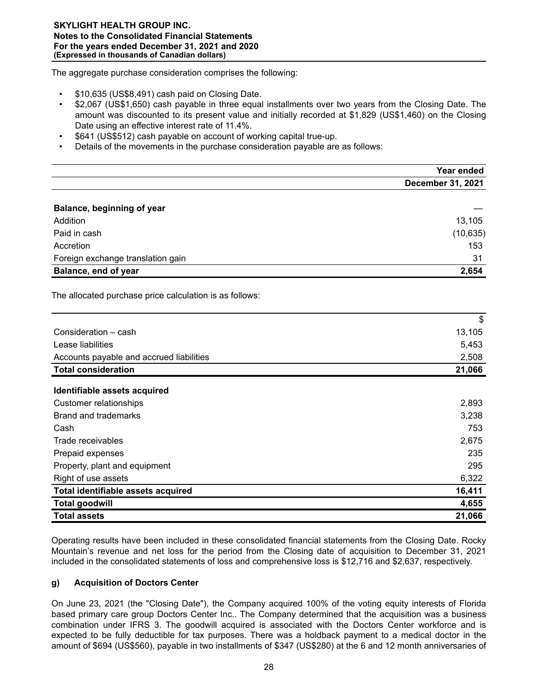The aggregate purchase consideration comprises the following:

- \$10,635 (US\$8,491) cash paid on Closing Date.
- \$2,067 (US\$1,650) cash payable in three equal installments over two years from the Closing Date. The amount was discounted to its present value and initially recorded at \$1,829 (US\$1,460) on the Closing Date using an effective interest rate of 11.4%.
- \$641 (US\$512) cash payable on account of working capital true-up.
- Details of the movements in the purchase consideration payable are as follows:

|                                                         | Year ended               |
|---------------------------------------------------------|--------------------------|
|                                                         | <b>December 31, 2021</b> |
|                                                         |                          |
| Balance, beginning of year                              |                          |
| Addition                                                | 13,105                   |
| Paid in cash                                            | (10, 635)                |
| Accretion                                               | 153                      |
| Foreign exchange translation gain                       | 31                       |
| Balance, end of year                                    | 2,654                    |
| The allocated purchase price calculation is as follows: |                          |
|                                                         | \$                       |
| Consideration - cash                                    | 13,105                   |
| Lease liabilities                                       | 5,453                    |
| Accounts payable and accrued liabilities                | 2,508                    |
| <b>Total consideration</b>                              | 21,066                   |
| Identifiable assets acquired                            |                          |
| <b>Customer relationships</b>                           | 2,893                    |
| <b>Brand and trademarks</b>                             | 3,238                    |
| Cash                                                    | 753                      |
| Trade receivables                                       | 2,675                    |
| Prepaid expenses                                        | 235                      |
| Property, plant and equipment                           | 295                      |
| Right of use assets                                     | 6,322                    |
| Total identifiable assets acquired                      | 16,411                   |
| <b>Total goodwill</b>                                   | 4,655                    |
| <b>Total assets</b>                                     | 21,066                   |

Operating results have been included in these consolidated financial statements from the Closing Date. Rocky Mountain's revenue and net loss for the period from the Closing date of acquisition to December 31, 2021 included in the consolidated statements of loss and comprehensive loss is \$12,716 and \$2,637, respectively.

# **g) Acquisition of Doctors Center**

On June 23, 2021 (the "Closing Date"), the Company acquired 100% of the voting equity interests of Florida based primary care group Doctors Center Inc.. The Company determined that the acquisition was a business combination under IFRS 3. The goodwill acquired is associated with the Doctors Center workforce and is expected to be fully deductible for tax purposes. There was a holdback payment to a medical doctor in the amount of \$694 (US\$560), payable in two installments of \$347 (US\$280) at the 6 and 12 month anniversaries of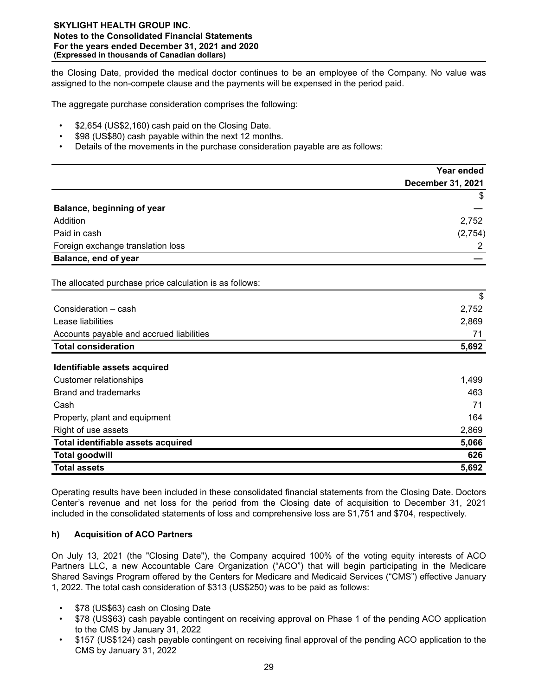the Closing Date, provided the medical doctor continues to be an employee of the Company. No value was assigned to the non-compete clause and the payments will be expensed in the period paid.

The aggregate purchase consideration comprises the following:

- \$2,654 (US\$2,160) cash paid on the Closing Date.
- \$98 (US\$80) cash payable within the next 12 months.
- Details of the movements in the purchase consideration payable are as follows:

|                                                         | Year ended        |
|---------------------------------------------------------|-------------------|
|                                                         | December 31, 2021 |
|                                                         | \$                |
| <b>Balance, beginning of year</b>                       |                   |
| Addition                                                | 2,752             |
| Paid in cash                                            | (2,754)           |
| Foreign exchange translation loss                       | 2                 |
| Balance, end of year                                    |                   |
|                                                         |                   |
| The allocated purchase price calculation is as follows: |                   |
|                                                         | $\mathbb{S}$      |
| Consideration - cash                                    | 2,752             |
| Lease liabilities                                       | 2,869             |
| Accounts payable and accrued liabilities                | 71                |
| <b>Total consideration</b>                              | 5,692             |
| Identifiable assets acquired                            |                   |
| <b>Customer relationships</b>                           | 1,499             |
| Brand and trademarks                                    | 463               |
| Cash                                                    | 71                |
| Property, plant and equipment                           | 164               |
| Right of use assets                                     | 2,869             |
| Total identifiable assets acquired                      | 5,066             |
| <b>Total goodwill</b>                                   | 626               |
| <b>Total assets</b>                                     | 5,692             |

Operating results have been included in these consolidated financial statements from the Closing Date. Doctors Center's revenue and net loss for the period from the Closing date of acquisition to December 31, 2021 included in the consolidated statements of loss and comprehensive loss are \$1,751 and \$704, respectively.

# **h) Acquisition of ACO Partners**

On July 13, 2021 (the "Closing Date"), the Company acquired 100% of the voting equity interests of ACO Partners LLC, a new Accountable Care Organization ("ACO") that will begin participating in the Medicare Shared Savings Program offered by the Centers for Medicare and Medicaid Services ("CMS") effective January 1, 2022. The total cash consideration of \$313 (US\$250) was to be paid as follows:

- \$78 (US\$63) cash on Closing Date
- \$78 (US\$63) cash payable contingent on receiving approval on Phase 1 of the pending ACO application to the CMS by January 31, 2022
- \$157 (US\$124) cash payable contingent on receiving final approval of the pending ACO application to the CMS by January 31, 2022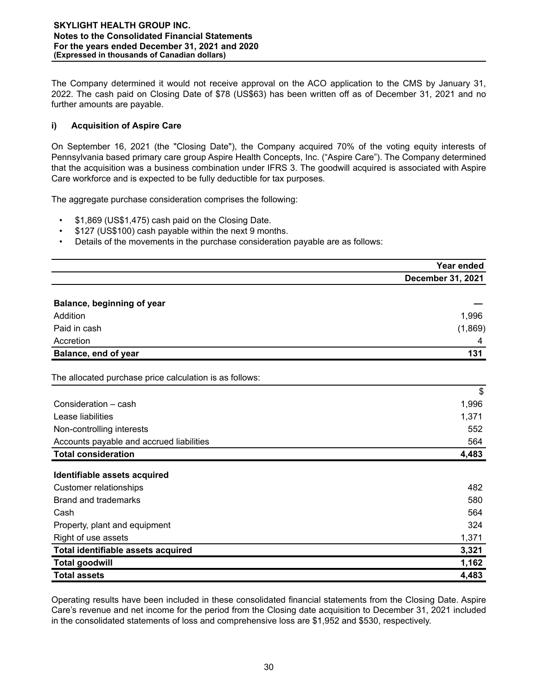The Company determined it would not receive approval on the ACO application to the CMS by January 31, 2022. The cash paid on Closing Date of \$78 (US\$63) has been written off as of December 31, 2021 and no further amounts are payable.

# **i) Acquisition of Aspire Care**

On September 16, 2021 (the "Closing Date"), the Company acquired 70% of the voting equity interests of Pennsylvania based primary care group Aspire Health Concepts, Inc. ("Aspire Care"). The Company determined that the acquisition was a business combination under IFRS 3. The goodwill acquired is associated with Aspire Care workforce and is expected to be fully deductible for tax purposes.

The aggregate purchase consideration comprises the following:

- \$1,869 (US\$1,475) cash paid on the Closing Date.
- \$127 (US\$100) cash payable within the next 9 months.
- Details of the movements in the purchase consideration payable are as follows:

|                                                         | Year ended               |
|---------------------------------------------------------|--------------------------|
|                                                         | <b>December 31, 2021</b> |
|                                                         |                          |
| Balance, beginning of year                              |                          |
| Addition                                                | 1,996                    |
| Paid in cash                                            | (1,869)                  |
| Accretion                                               | 4                        |
| Balance, end of year                                    | 131                      |
| The allocated purchase price calculation is as follows: |                          |
|                                                         | $\mathsf{\$}$            |
| Consideration - cash                                    | 1,996                    |
| Lease liabilities                                       | 1,371                    |
| Non-controlling interests                               | 552                      |
| Accounts payable and accrued liabilities                | 564                      |
| <b>Total consideration</b>                              | 4,483                    |
| Identifiable assets acquired                            |                          |
| <b>Customer relationships</b>                           | 482                      |
| Brand and trademarks                                    | 580                      |
| Cash                                                    | 564                      |
| Property, plant and equipment                           | 324                      |
| Right of use assets                                     | 1,371                    |
| Total identifiable assets acquired                      | 3,321                    |
| <b>Total goodwill</b>                                   | 1,162                    |
| <b>Total assets</b>                                     | 4,483                    |

Operating results have been included in these consolidated financial statements from the Closing Date. Aspire Care's revenue and net income for the period from the Closing date acquisition to December 31, 2021 included in the consolidated statements of loss and comprehensive loss are \$1,952 and \$530, respectively.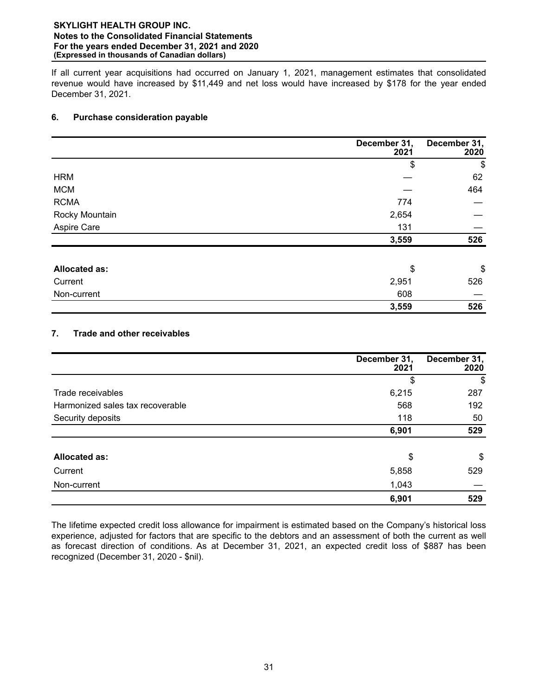If all current year acquisitions had occurred on January 1, 2021, management estimates that consolidated revenue would have increased by \$11,449 and net loss would have increased by \$178 for the year ended December 31, 2021.

# **6. Purchase consideration payable**

|                      | December 31,<br>2021 | December 31,<br>2020 |
|----------------------|----------------------|----------------------|
|                      | \$                   | $\$\$                |
| <b>HRM</b>           |                      | 62                   |
| <b>MCM</b>           |                      | 464                  |
| <b>RCMA</b>          | 774                  |                      |
| Rocky Mountain       | 2,654                |                      |
| Aspire Care          | 131                  |                      |
|                      | 3,559                | 526                  |
| <b>Allocated as:</b> | \$                   | \$                   |
| Current              | 2,951                | 526                  |
| Non-current          | 608                  |                      |
|                      | 3,559                | 526                  |

# **7. Trade and other receivables**

|                                  | December 31,<br>2021 | December 31,<br>2020 |
|----------------------------------|----------------------|----------------------|
|                                  | S                    | \$                   |
| Trade receivables                | 6,215                | 287                  |
| Harmonized sales tax recoverable | 568                  | 192                  |
| Security deposits                | 118                  | 50                   |
|                                  | 6,901                | 529                  |
| <b>Allocated as:</b>             | \$                   | \$                   |
| Current                          | 5,858                | 529                  |
| Non-current                      | 1,043                |                      |
|                                  | 6,901                | 529                  |

The lifetime expected credit loss allowance for impairment is estimated based on the Company's historical loss experience, adjusted for factors that are specific to the debtors and an assessment of both the current as well as forecast direction of conditions. As at December 31, 2021, an expected credit loss of \$887 has been recognized (December 31, 2020 - \$nil).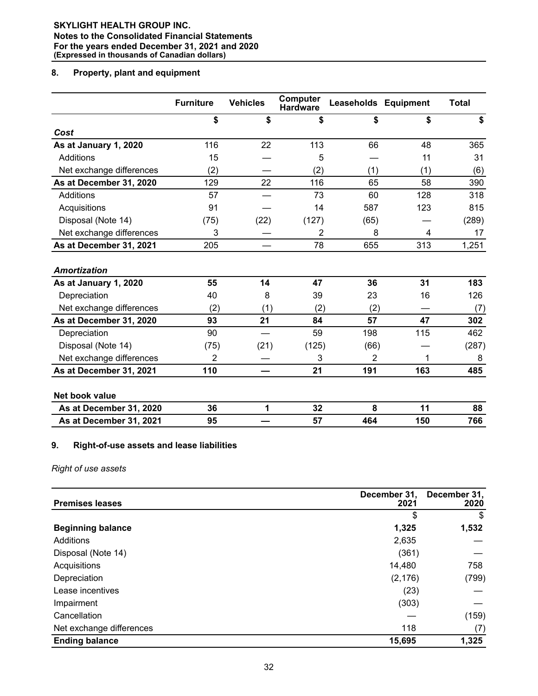# **8. Property, plant and equipment**

|                          | <b>Furniture</b> | <b>Vehicles</b> | <b>Computer</b><br><b>Hardware</b> | <b>Leaseholds Equipment</b> |     | <b>Total</b> |
|--------------------------|------------------|-----------------|------------------------------------|-----------------------------|-----|--------------|
|                          | \$               | \$              | \$                                 | \$                          | \$  | \$           |
| Cost                     |                  |                 |                                    |                             |     |              |
| As at January 1, 2020    | 116              | 22              | 113                                | 66                          | 48  | 365          |
| Additions                | 15               |                 | 5                                  |                             | 11  | 31           |
| Net exchange differences | (2)              |                 | (2)                                | (1)                         | (1) | (6)          |
| As at December 31, 2020  | 129              | 22              | 116                                | 65                          | 58  | 390          |
| Additions                | 57               |                 | 73                                 | 60                          | 128 | 318          |
| Acquisitions             | 91               |                 | 14                                 | 587                         | 123 | 815          |
| Disposal (Note 14)       | (75)             | (22)            | (127)                              | (65)                        |     | (289)        |
| Net exchange differences | 3                |                 | 2                                  | 8                           | 4   | 17           |
| As at December 31, 2021  | 205              |                 | 78                                 | 655                         | 313 | 1,251        |
| <b>Amortization</b>      |                  |                 |                                    |                             |     |              |
| As at January 1, 2020    | 55               | 14              | 47                                 | 36                          | 31  | 183          |
| Depreciation             | 40               | 8               | 39                                 | 23                          | 16  | 126          |
| Net exchange differences | (2)              | (1)             | (2)                                | (2)                         |     | (7)          |
| As at December 31, 2020  | 93               | 21              | 84                                 | 57                          | 47  | 302          |
| Depreciation             | 90               |                 | 59                                 | 198                         | 115 | 462          |
| Disposal (Note 14)       | (75)             | (21)            | (125)                              | (66)                        |     | (287)        |
| Net exchange differences | $\overline{2}$   |                 | 3                                  | $\overline{2}$              | 1   | 8            |
| As at December 31, 2021  | 110              |                 | 21                                 | 191                         | 163 | 485          |
| Net book value           |                  |                 |                                    |                             |     |              |
| As at December 31, 2020  | 36               | 1               | 32                                 | 8                           | 11  | 88           |
| As at December 31, 2021  | 95               |                 | 57                                 | 464                         | 150 | 766          |

# **9. Right-of-use assets and lease liabilities**

# *Right of use assets*

| <b>Premises leases</b>   | December 31,<br>2021 | December 31,<br>2020 |  |
|--------------------------|----------------------|----------------------|--|
|                          | \$                   | \$                   |  |
| <b>Beginning balance</b> | 1,325                | 1,532                |  |
| Additions                | 2,635                |                      |  |
| Disposal (Note 14)       | (361)                |                      |  |
| Acquisitions             | 14,480               | 758                  |  |
| Depreciation             | (2, 176)             | (799)                |  |
| Lease incentives         | (23)                 |                      |  |
| Impairment               | (303)                |                      |  |
| Cancellation             |                      | (159)                |  |
| Net exchange differences | 118                  | (7)                  |  |
| <b>Ending balance</b>    | 15,695               | 1,325                |  |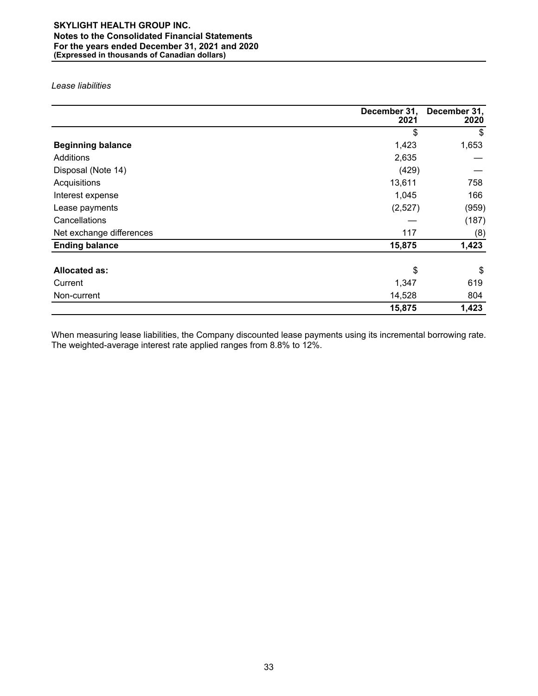# *Lease liabilities*

|                          | December 31,<br>2021 | December 31,<br>2020 |
|--------------------------|----------------------|----------------------|
|                          | \$                   | \$                   |
| <b>Beginning balance</b> | 1,423                | 1,653                |
| Additions                | 2,635                |                      |
| Disposal (Note 14)       | (429)                |                      |
| Acquisitions             | 13,611               | 758                  |
| Interest expense         | 1,045                | 166                  |
| Lease payments           | (2,527)              | (959)                |
| Cancellations            |                      | (187)                |
| Net exchange differences | 117                  | (8)                  |
| <b>Ending balance</b>    | 15,875               | 1,423                |
| <b>Allocated as:</b>     | \$                   | \$                   |
| Current                  | 1,347                | 619                  |
| Non-current              | 14,528               | 804                  |
|                          | 15,875               | 1,423                |

When measuring lease liabilities, the Company discounted lease payments using its incremental borrowing rate. The weighted-average interest rate applied ranges from 8.8% to 12%.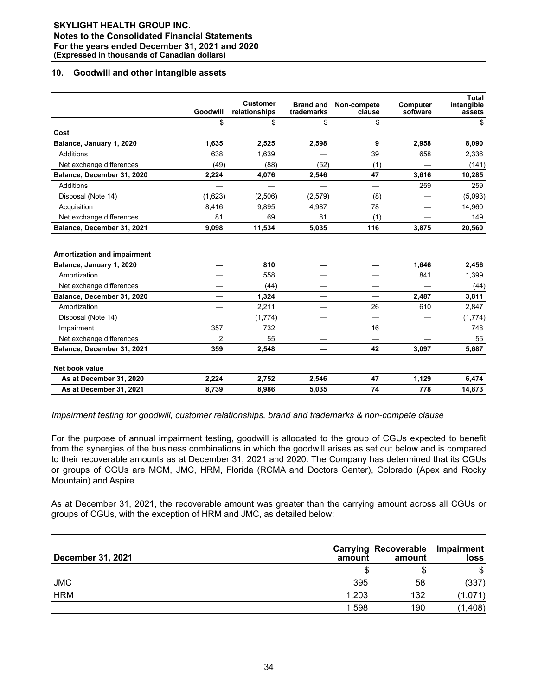# **10. Goodwill and other intangible assets**

|                                                                | Goodwill | <b>Customer</b><br>relationships | <b>Brand and</b><br>trademarks | Non-compete<br>clause    | Computer<br>software | <b>Total</b><br>intangible<br>assets |
|----------------------------------------------------------------|----------|----------------------------------|--------------------------------|--------------------------|----------------------|--------------------------------------|
|                                                                | \$       | \$                               | \$                             | \$                       |                      | \$                                   |
| Cost                                                           |          |                                  |                                |                          |                      |                                      |
| Balance, January 1, 2020                                       | 1,635    | 2,525                            | 2,598                          | 9                        | 2,958                | 8,090                                |
| Additions                                                      | 638      | 1,639                            |                                | 39                       | 658                  | 2,336                                |
| Net exchange differences                                       | (49)     | (88)                             | (52)                           | (1)                      |                      | (141)                                |
| Balance, December 31, 2020                                     | 2,224    | 4,076                            | 2,546                          | 47                       | 3,616                | 10,285                               |
| Additions                                                      |          |                                  |                                |                          | 259                  | 259                                  |
| Disposal (Note 14)                                             | (1,623)  | (2,506)                          | (2,579)                        | (8)                      |                      | (5,093)                              |
| Acquisition                                                    | 8,416    | 9,895                            | 4,987                          | 78                       |                      | 14,960                               |
| Net exchange differences                                       | 81       | 69                               | 81                             | (1)                      |                      | 149                                  |
| Balance, December 31, 2021                                     | 9,098    | 11,534                           | 5,035                          | 116                      | 3,875                | 20,560                               |
| <b>Amortization and impairment</b><br>Balance, January 1, 2020 |          | 810                              |                                |                          | 1.646                | 2,456                                |
| Amortization                                                   |          | 558                              |                                |                          | 841                  | 1,399                                |
| Net exchange differences                                       |          | (44)                             |                                |                          |                      | (44)                                 |
| Balance, December 31, 2020                                     |          | 1,324                            |                                | $\overline{\phantom{0}}$ | 2,487                | 3,811                                |
| Amortization                                                   |          | 2,211                            |                                | 26                       | 610                  | 2,847                                |
| Disposal (Note 14)                                             |          | (1,774)                          |                                |                          |                      | (1, 774)                             |
| Impairment                                                     | 357      | 732                              |                                | 16                       |                      | 748                                  |
| Net exchange differences                                       | 2        | 55                               |                                |                          |                      | 55                                   |
| Balance, December 31, 2021                                     | 359      | 2,548                            |                                | 42                       | 3,097                | 5,687                                |
| Net book value                                                 |          |                                  |                                |                          |                      |                                      |
| As at December 31, 2020                                        | 2,224    | 2,752                            | 2,546                          | 47                       | 1,129                | 6,474                                |
| As at December 31, 2021                                        | 8,739    | 8,986                            | 5,035                          | 74                       | 778                  | 14,873                               |

*Impairment testing for goodwill, customer relationships, brand and trademarks & non-compete clause*

For the purpose of annual impairment testing, goodwill is allocated to the group of CGUs expected to benefit from the synergies of the business combinations in which the goodwill arises as set out below and is compared to their recoverable amounts as at December 31, 2021 and 2020. The Company has determined that its CGUs or groups of CGUs are MCM, JMC, HRM, Florida (RCMA and Doctors Center), Colorado (Apex and Rocky Mountain) and Aspire.

As at December 31, 2021, the recoverable amount was greater than the carrying amount across all CGUs or groups of CGUs, with the exception of HRM and JMC, as detailed below:

| <b>December 31, 2021</b> | amount | <b>Carrying Recoverable Impairment</b><br>amount | loss    |
|--------------------------|--------|--------------------------------------------------|---------|
|                          |        |                                                  | \$      |
| <b>JMC</b>               | 395    | 58                                               | (337)   |
| <b>HRM</b>               | 1,203  | 132                                              | (1,071) |
|                          | 1,598  | 190                                              | (1,408) |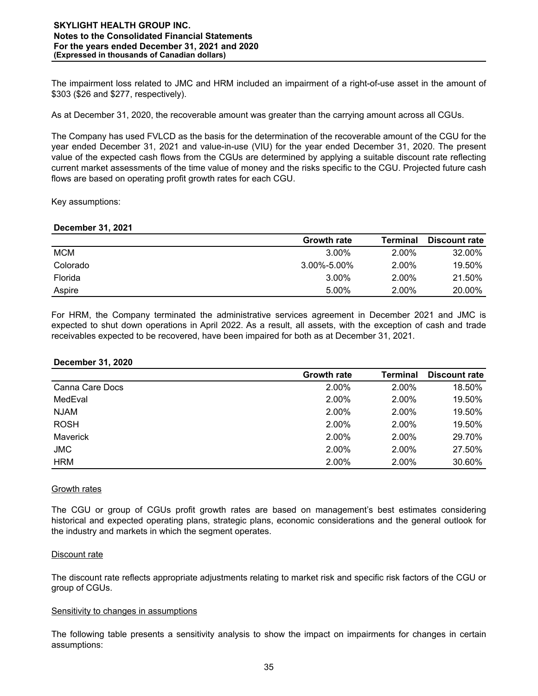The impairment loss related to JMC and HRM included an impairment of a right-of-use asset in the amount of \$303 (\$26 and \$277, respectively).

As at December 31, 2020, the recoverable amount was greater than the carrying amount across all CGUs.

The Company has used FVLCD as the basis for the determination of the recoverable amount of the CGU for the year ended December 31, 2021 and value-in-use (VIU) for the year ended December 31, 2020. The present value of the expected cash flows from the CGUs are determined by applying a suitable discount rate reflecting current market assessments of the time value of money and the risks specific to the CGU. Projected future cash flows are based on operating profit growth rates for each CGU.

Key assumptions:

#### **December 31, 2021**

|            | <b>Growth rate</b> | Terminal | <b>Discount rate</b> |
|------------|--------------------|----------|----------------------|
| <b>MCM</b> | $3.00\%$           | 2.00%    | 32.00%               |
| Colorado   | $3.00\% - 5.00\%$  | 2.00%    | 19.50%               |
| Florida    | $3.00\%$           | 2.00%    | 21.50%               |
| Aspire     | 5.00%              | 2.00%    | 20.00%               |

For HRM, the Company terminated the administrative services agreement in December 2021 and JMC is expected to shut down operations in April 2022. As a result, all assets, with the exception of cash and trade receivables expected to be recovered, have been impaired for both as at December 31, 2021.

# **December 31, 2020**

|                 | <b>Growth rate</b> | <b>Terminal</b> | <b>Discount rate</b> |
|-----------------|--------------------|-----------------|----------------------|
| Canna Care Docs | 2.00%              | 2.00%           | 18.50%               |
| MedEval         | $2.00\%$           | 2.00%           | 19.50%               |
| <b>NJAM</b>     | 2.00%              | 2.00%           | 19.50%               |
| <b>ROSH</b>     | 2.00%              | 2.00%           | 19.50%               |
| Maverick        | 2.00%              | 2.00%           | 29.70%               |
| <b>JMC</b>      | 2.00%              | 2.00%           | 27.50%               |
| <b>HRM</b>      | 2.00%              | 2.00%           | 30.60%               |

# Growth rates

The CGU or group of CGUs profit growth rates are based on management's best estimates considering historical and expected operating plans, strategic plans, economic considerations and the general outlook for the industry and markets in which the segment operates.

#### Discount rate

The discount rate reflects appropriate adjustments relating to market risk and specific risk factors of the CGU or group of CGUs.

# Sensitivity to changes in assumptions

The following table presents a sensitivity analysis to show the impact on impairments for changes in certain assumptions: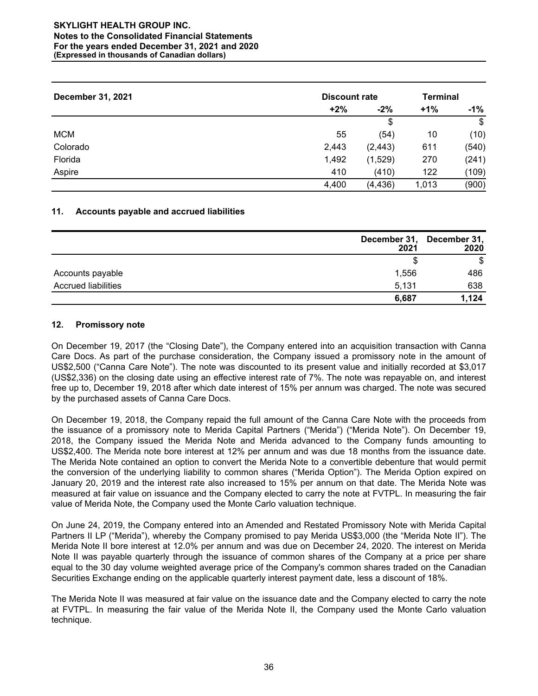| <b>December 31, 2021</b> |       | <b>Discount rate</b> |       | <b>Terminal</b> |  |
|--------------------------|-------|----------------------|-------|-----------------|--|
|                          | $+2%$ | $-2%$                | $+1%$ | -1%             |  |
|                          |       | \$                   |       | \$              |  |
| <b>MCM</b>               | 55    | (54)                 | 10    | (10)            |  |
| Colorado                 | 2,443 | (2, 443)             | 611   | (540)           |  |
| Florida                  | 1,492 | (1,529)              | 270   | (241)           |  |
| Aspire                   | 410   | (410)                | 122   | (109)           |  |
|                          | 4,400 | (4, 436)             | 1,013 | (900)           |  |

# **11. Accounts payable and accrued liabilities**

|                            | 2021  | December 31, December 31,<br>2020 |
|----------------------------|-------|-----------------------------------|
|                            | S     | \$                                |
| Accounts payable           | 1,556 | 486                               |
| <b>Accrued liabilities</b> | 5,131 | 638                               |
|                            | 6,687 | 1,124                             |

# **12. Promissory note**

On December 19, 2017 (the "Closing Date"), the Company entered into an acquisition transaction with Canna Care Docs. As part of the purchase consideration, the Company issued a promissory note in the amount of US\$2,500 ("Canna Care Note"). The note was discounted to its present value and initially recorded at \$3,017 (US\$2,336) on the closing date using an effective interest rate of 7%. The note was repayable on, and interest free up to, December 19, 2018 after which date interest of 15% per annum was charged. The note was secured by the purchased assets of Canna Care Docs.

On December 19, 2018, the Company repaid the full amount of the Canna Care Note with the proceeds from the issuance of a promissory note to Merida Capital Partners ("Merida") ("Merida Note"). On December 19, 2018, the Company issued the Merida Note and Merida advanced to the Company funds amounting to US\$2,400. The Merida note bore interest at 12% per annum and was due 18 months from the issuance date. The Merida Note contained an option to convert the Merida Note to a convertible debenture that would permit the conversion of the underlying liability to common shares ("Merida Option"). The Merida Option expired on January 20, 2019 and the interest rate also increased to 15% per annum on that date. The Merida Note was measured at fair value on issuance and the Company elected to carry the note at FVTPL. In measuring the fair value of Merida Note, the Company used the Monte Carlo valuation technique.

On June 24, 2019, the Company entered into an Amended and Restated Promissory Note with Merida Capital Partners II LP ("Merida"), whereby the Company promised to pay Merida US\$3,000 (the "Merida Note II"). The Merida Note II bore interest at 12.0% per annum and was due on December 24, 2020. The interest on Merida Note II was payable quarterly through the issuance of common shares of the Company at a price per share equal to the 30 day volume weighted average price of the Company's common shares traded on the Canadian Securities Exchange ending on the applicable quarterly interest payment date, less a discount of 18%.

The Merida Note II was measured at fair value on the issuance date and the Company elected to carry the note at FVTPL. In measuring the fair value of the Merida Note II, the Company used the Monte Carlo valuation technique.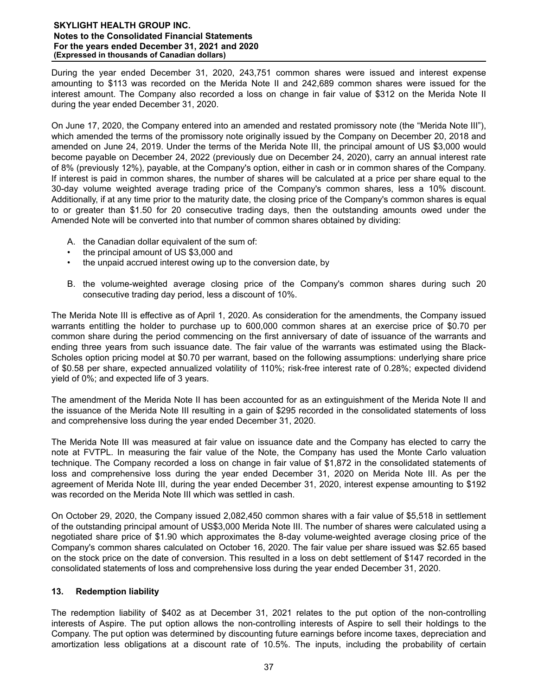During the year ended December 31, 2020, 243,751 common shares were issued and interest expense amounting to \$113 was recorded on the Merida Note II and 242,689 common shares were issued for the interest amount. The Company also recorded a loss on change in fair value of \$312 on the Merida Note II during the year ended December 31, 2020.

On June 17, 2020, the Company entered into an amended and restated promissory note (the "Merida Note III"), which amended the terms of the promissory note originally issued by the Company on December 20, 2018 and amended on June 24, 2019. Under the terms of the Merida Note III, the principal amount of US \$3,000 would become payable on December 24, 2022 (previously due on December 24, 2020), carry an annual interest rate of 8% (previously 12%), payable, at the Company's option, either in cash or in common shares of the Company. If interest is paid in common shares, the number of shares will be calculated at a price per share equal to the 30-day volume weighted average trading price of the Company's common shares, less a 10% discount. Additionally, if at any time prior to the maturity date, the closing price of the Company's common shares is equal to or greater than \$1.50 for 20 consecutive trading days, then the outstanding amounts owed under the Amended Note will be converted into that number of common shares obtained by dividing:

- A. the Canadian dollar equivalent of the sum of:
- the principal amount of US \$3,000 and
- the unpaid accrued interest owing up to the conversion date, by
- B. the volume-weighted average closing price of the Company's common shares during such 20 consecutive trading day period, less a discount of 10%.

The Merida Note III is effective as of April 1, 2020. As consideration for the amendments, the Company issued warrants entitling the holder to purchase up to 600,000 common shares at an exercise price of \$0.70 per common share during the period commencing on the first anniversary of date of issuance of the warrants and ending three years from such issuance date. The fair value of the warrants was estimated using the Black-Scholes option pricing model at \$0.70 per warrant, based on the following assumptions: underlying share price of \$0.58 per share, expected annualized volatility of 110%; risk-free interest rate of 0.28%; expected dividend yield of 0%; and expected life of 3 years.

The amendment of the Merida Note II has been accounted for as an extinguishment of the Merida Note II and the issuance of the Merida Note III resulting in a gain of \$295 recorded in the consolidated statements of loss and comprehensive loss during the year ended December 31, 2020.

The Merida Note III was measured at fair value on issuance date and the Company has elected to carry the note at FVTPL. In measuring the fair value of the Note, the Company has used the Monte Carlo valuation technique. The Company recorded a loss on change in fair value of \$1,872 in the consolidated statements of loss and comprehensive loss during the year ended December 31, 2020 on Merida Note III. As per the agreement of Merida Note III, during the year ended December 31, 2020, interest expense amounting to \$192 was recorded on the Merida Note III which was settled in cash.

On October 29, 2020, the Company issued 2,082,450 common shares with a fair value of \$5,518 in settlement of the outstanding principal amount of US\$3,000 Merida Note III. The number of shares were calculated using a negotiated share price of \$1.90 which approximates the 8-day volume-weighted average closing price of the Company's common shares calculated on October 16, 2020. The fair value per share issued was \$2.65 based on the stock price on the date of conversion. This resulted in a loss on debt settlement of \$147 recorded in the consolidated statements of loss and comprehensive loss during the year ended December 31, 2020.

# **13. Redemption liability**

The redemption liability of \$402 as at December 31, 2021 relates to the put option of the non-controlling interests of Aspire. The put option allows the non-controlling interests of Aspire to sell their holdings to the Company. The put option was determined by discounting future earnings before income taxes, depreciation and amortization less obligations at a discount rate of 10.5%. The inputs, including the probability of certain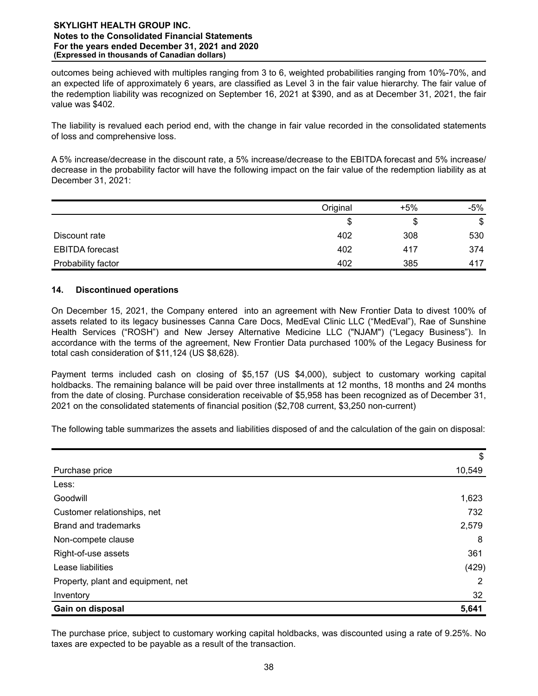outcomes being achieved with multiples ranging from 3 to 6, weighted probabilities ranging from 10%-70%, and an expected life of approximately 6 years, are classified as Level 3 in the fair value hierarchy. The fair value of the redemption liability was recognized on September 16, 2021 at \$390, and as at December 31, 2021, the fair value was \$402.

The liability is revalued each period end, with the change in fair value recorded in the consolidated statements of loss and comprehensive loss.

A 5% increase/decrease in the discount rate, a 5% increase/decrease to the EBITDA forecast and 5% increase/ decrease in the probability factor will have the following impact on the fair value of the redemption liability as at December 31, 2021:

|                        | Original | $+5%$ | -5% |
|------------------------|----------|-------|-----|
|                        |          | S.    | \$  |
| Discount rate          | 402      | 308   | 530 |
| <b>EBITDA</b> forecast | 402      | 417   | 374 |
| Probability factor     | 402      | 385   | 417 |

# **14. Discontinued operations**

On December 15, 2021, the Company entered into an agreement with New Frontier Data to divest 100% of assets related to its legacy businesses Canna Care Docs, MedEval Clinic LLC ("MedEval"), Rae of Sunshine Health Services ("ROSH") and New Jersey Alternative Medicine LLC ("NJAM") ("Legacy Business"). In accordance with the terms of the agreement, New Frontier Data purchased 100% of the Legacy Business for total cash consideration of \$11,124 (US \$8,628).

Payment terms included cash on closing of \$5,157 (US \$4,000), subject to customary working capital holdbacks. The remaining balance will be paid over three installments at 12 months, 18 months and 24 months from the date of closing. Purchase consideration receivable of \$5,958 has been recognized as of December 31, 2021 on the consolidated statements of financial position (\$2,708 current, \$3,250 non-current)

The following table summarizes the assets and liabilities disposed of and the calculation of the gain on disposal:

|                                    | \$     |
|------------------------------------|--------|
| Purchase price                     | 10,549 |
| Less:                              |        |
| Goodwill                           | 1,623  |
| Customer relationships, net        | 732    |
| <b>Brand and trademarks</b>        | 2,579  |
| Non-compete clause                 | 8      |
| Right-of-use assets                | 361    |
| Lease liabilities                  | (429)  |
| Property, plant and equipment, net | 2      |
| Inventory                          | 32     |
| Gain on disposal                   | 5,641  |

The purchase price, subject to customary working capital holdbacks, was discounted using a rate of 9.25%. No taxes are expected to be payable as a result of the transaction.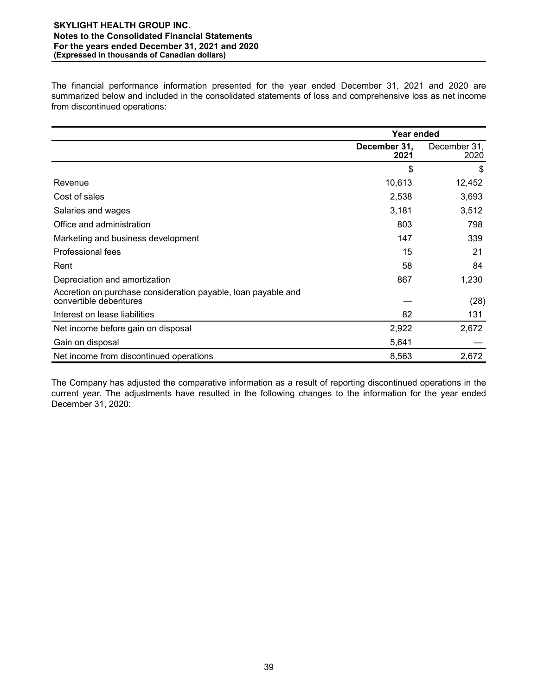The financial performance information presented for the year ended December 31, 2021 and 2020 are summarized below and included in the consolidated statements of loss and comprehensive loss as net income from discontinued operations:

|                                                                                         | Year ended           |                      |
|-----------------------------------------------------------------------------------------|----------------------|----------------------|
|                                                                                         | December 31,<br>2021 | December 31,<br>2020 |
|                                                                                         | \$                   | \$                   |
| Revenue                                                                                 | 10,613               | 12,452               |
| Cost of sales                                                                           | 2,538                | 3,693                |
| Salaries and wages                                                                      | 3,181                | 3,512                |
| Office and administration                                                               | 803                  | 798                  |
| Marketing and business development                                                      | 147                  | 339                  |
| Professional fees                                                                       | 15                   | 21                   |
| Rent                                                                                    | 58                   | 84                   |
| Depreciation and amortization                                                           | 867                  | 1,230                |
| Accretion on purchase consideration payable, loan payable and<br>convertible debentures |                      | (28)                 |
| Interest on lease liabilities                                                           | 82                   | 131                  |
| Net income before gain on disposal                                                      | 2,922                | 2,672                |
| Gain on disposal                                                                        | 5,641                |                      |
| Net income from discontinued operations                                                 | 8,563                | 2,672                |

The Company has adjusted the comparative information as a result of reporting discontinued operations in the current year. The adjustments have resulted in the following changes to the information for the year ended December 31, 2020: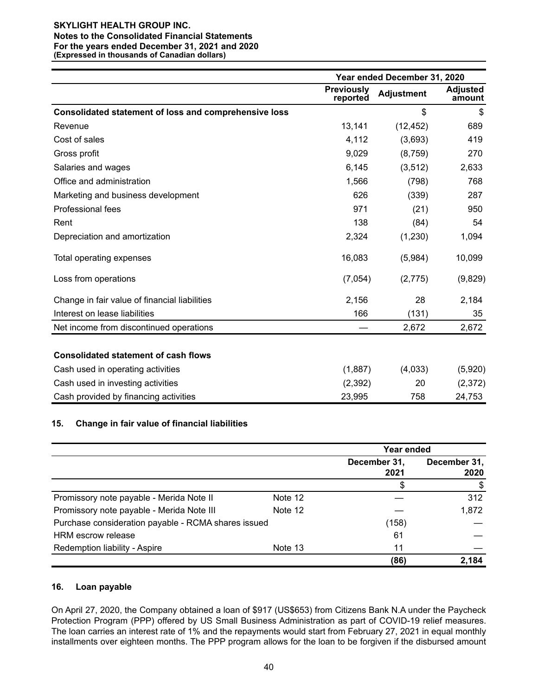# **SKYLIGHT HEALTH GROUP INC.**

# **Notes to the Consolidated Financial Statements**

**For the years ended December 31, 2021 and 2020**

**(Expressed in thousands of Canadian dollars)**

|                                                              | Year ended December 31, 2020  |                   |                           |
|--------------------------------------------------------------|-------------------------------|-------------------|---------------------------|
|                                                              | <b>Previously</b><br>reported | <b>Adjustment</b> | <b>Adjusted</b><br>amount |
| <b>Consolidated statement of loss and comprehensive loss</b> |                               | \$                | $\mathbb{S}$              |
| Revenue                                                      | 13,141                        | (12, 452)         | 689                       |
| Cost of sales                                                | 4,112                         | (3,693)           | 419                       |
| Gross profit                                                 | 9,029                         | (8,759)           | 270                       |
| Salaries and wages                                           | 6,145                         | (3,512)           | 2,633                     |
| Office and administration                                    | 1,566                         | (798)             | 768                       |
| Marketing and business development                           | 626                           | (339)             | 287                       |
| <b>Professional fees</b>                                     | 971                           | (21)              | 950                       |
| Rent                                                         | 138                           | (84)              | 54                        |
| Depreciation and amortization                                | 2,324                         | (1,230)           | 1,094                     |
| Total operating expenses                                     | 16,083                        | (5,984)           | 10,099                    |
| Loss from operations                                         | (7,054)                       | (2,775)           | (9,829)                   |
| Change in fair value of financial liabilities                | 2,156                         | 28                | 2,184                     |
| Interest on lease liabilities                                | 166                           | (131)             | 35                        |
| Net income from discontinued operations                      |                               | 2,672             | 2,672                     |
|                                                              |                               |                   |                           |
| <b>Consolidated statement of cash flows</b>                  |                               |                   |                           |
| Cash used in operating activities                            | (1,887)                       | (4,033)           | (5,920)                   |
| Cash used in investing activities                            | (2, 392)                      | 20                | (2,372)                   |
| Cash provided by financing activities                        | 23,995                        | 758               | 24,753                    |

# **15. Change in fair value of financial liabilities**

|                                                     |         | Year ended           |                      |
|-----------------------------------------------------|---------|----------------------|----------------------|
|                                                     |         | December 31,<br>2021 | December 31,<br>2020 |
|                                                     |         | \$                   |                      |
| Promissory note payable - Merida Note II            | Note 12 |                      | 312                  |
| Promissory note payable - Merida Note III           | Note 12 |                      | 1,872                |
| Purchase consideration payable - RCMA shares issued |         | (158)                |                      |
| HRM escrow release                                  |         | 61                   |                      |
| Redemption liability - Aspire                       | Note 13 | 11                   |                      |
|                                                     |         | (86)                 | 2,184                |

# **16. Loan payable**

On April 27, 2020, the Company obtained a loan of \$917 (US\$653) from Citizens Bank N.A under the Paycheck Protection Program (PPP) offered by US Small Business Administration as part of COVID-19 relief measures. The loan carries an interest rate of 1% and the repayments would start from February 27, 2021 in equal monthly installments over eighteen months. The PPP program allows for the loan to be forgiven if the disbursed amount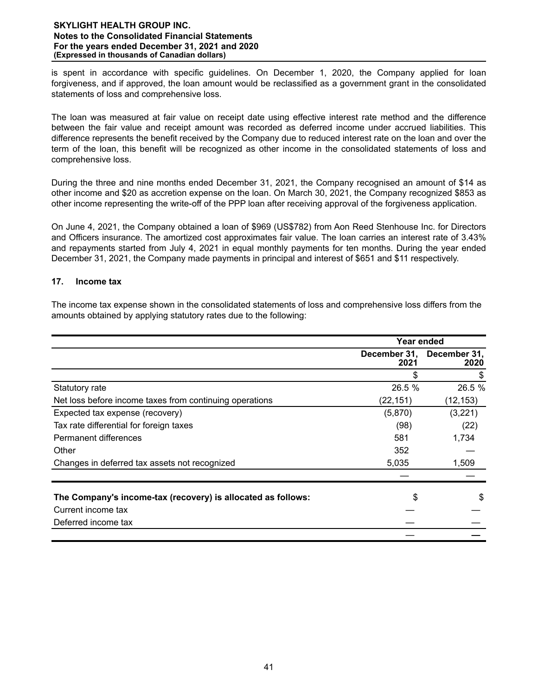is spent in accordance with specific guidelines. On December 1, 2020, the Company applied for loan forgiveness, and if approved, the loan amount would be reclassified as a government grant in the consolidated statements of loss and comprehensive loss.

The loan was measured at fair value on receipt date using effective interest rate method and the difference between the fair value and receipt amount was recorded as deferred income under accrued liabilities. This difference represents the benefit received by the Company due to reduced interest rate on the loan and over the term of the loan, this benefit will be recognized as other income in the consolidated statements of loss and comprehensive loss.

During the three and nine months ended December 31, 2021, the Company recognised an amount of \$14 as other income and \$20 as accretion expense on the loan. On March 30, 2021, the Company recognized \$853 as other income representing the write-off of the PPP loan after receiving approval of the forgiveness application.

On June 4, 2021, the Company obtained a loan of \$969 (US\$782) from Aon Reed Stenhouse Inc. for Directors and Officers insurance. The amortized cost approximates fair value. The loan carries an interest rate of 3.43% and repayments started from July 4, 2021 in equal monthly payments for ten months. During the year ended December 31, 2021, the Company made payments in principal and interest of \$651 and \$11 respectively.

# **17. Income tax**

The income tax expense shown in the consolidated statements of loss and comprehensive loss differs from the amounts obtained by applying statutory rates due to the following:

|                                                              | Year ended |                                   |
|--------------------------------------------------------------|------------|-----------------------------------|
|                                                              | 2021       | December 31, December 31,<br>2020 |
|                                                              | \$         | \$                                |
| Statutory rate                                               | 26.5 %     | 26.5 %                            |
| Net loss before income taxes from continuing operations      | (22, 151)  | (12, 153)                         |
| Expected tax expense (recovery)                              | (5,870)    | (3,221)                           |
| Tax rate differential for foreign taxes                      | (98)       | (22)                              |
| Permanent differences                                        | 581        | 1,734                             |
| Other                                                        | 352        |                                   |
| Changes in deferred tax assets not recognized                | 5,035      | 1,509                             |
|                                                              |            |                                   |
| The Company's income-tax (recovery) is allocated as follows: | \$         | S                                 |
| Current income tax                                           |            |                                   |
| Deferred income tax                                          |            |                                   |
|                                                              |            |                                   |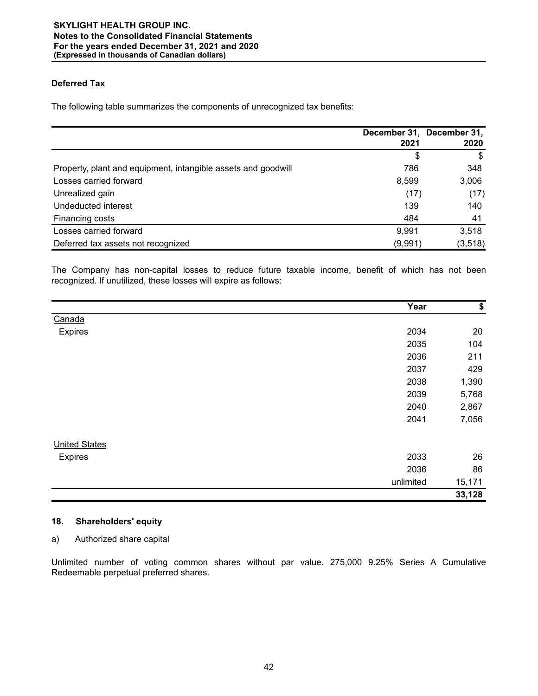# **Deferred Tax**

The following table summarizes the components of unrecognized tax benefits:

|                                                               |         | December 31, December 31, |
|---------------------------------------------------------------|---------|---------------------------|
|                                                               | 2021    | 2020                      |
|                                                               | \$      | \$                        |
| Property, plant and equipment, intangible assets and goodwill | 786     | 348                       |
| Losses carried forward                                        | 8,599   | 3,006                     |
| Unrealized gain                                               | (17)    | (17)                      |
| Undeducted interest                                           | 139     | 140                       |
| Financing costs                                               | 484     | 41                        |
| Losses carried forward                                        | 9,991   | 3,518                     |
| Deferred tax assets not recognized                            | (9,991) | (3, 518)                  |

The Company has non-capital losses to reduce future taxable income, benefit of which has not been recognized. If unutilized, these losses will expire as follows:

|                      | Year      | \$     |
|----------------------|-----------|--------|
| Canada               |           |        |
| Expires              | 2034      | 20     |
|                      | 2035      | 104    |
|                      | 2036      | 211    |
|                      | 2037      | 429    |
|                      | 2038      | 1,390  |
|                      | 2039      | 5,768  |
|                      | 2040      | 2,867  |
|                      | 2041      | 7,056  |
| <b>United States</b> |           |        |
| Expires              | 2033      | 26     |
|                      | 2036      | 86     |
|                      | unlimited | 15,171 |
|                      |           | 33,128 |

# **18. Shareholders' equity**

# a) Authorized share capital

Unlimited number of voting common shares without par value. 275,000 9.25% Series A Cumulative Redeemable perpetual preferred shares.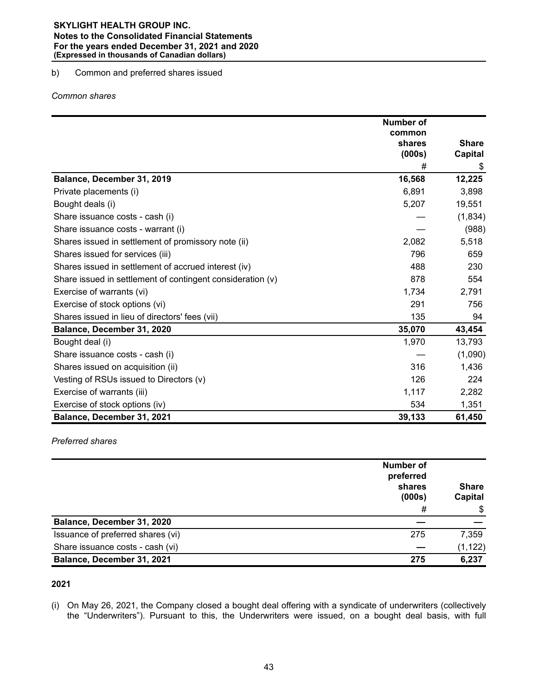# b) Common and preferred shares issued

# *Common shares*

|                                                            | <b>Number of</b> |              |
|------------------------------------------------------------|------------------|--------------|
|                                                            | common<br>shares | <b>Share</b> |
|                                                            | (000s)           | Capital      |
|                                                            | #                | \$           |
| Balance, December 31, 2019                                 | 16,568           | 12,225       |
| Private placements (i)                                     | 6,891            | 3,898        |
| Bought deals (i)                                           | 5,207            | 19,551       |
| Share issuance costs - cash (i)                            |                  | (1,834)      |
| Share issuance costs - warrant (i)                         |                  | (988)        |
| Shares issued in settlement of promissory note (ii)        | 2,082            | 5,518        |
| Shares issued for services (iii)                           | 796              | 659          |
| Shares issued in settlement of accrued interest (iv)       | 488              | 230          |
| Share issued in settlement of contingent consideration (v) | 878              | 554          |
| Exercise of warrants (vi)                                  | 1,734            | 2,791        |
| Exercise of stock options (vi)                             | 291              | 756          |
| Shares issued in lieu of directors' fees (vii)             | 135              | 94           |
| Balance, December 31, 2020                                 | 35,070           | 43,454       |
| Bought deal (i)                                            | 1,970            | 13,793       |
| Share issuance costs - cash (i)                            |                  | (1,090)      |
| Shares issued on acquisition (ii)                          | 316              | 1,436        |
| Vesting of RSUs issued to Directors (v)                    | 126              | 224          |
| Exercise of warrants (iii)                                 | 1,117            | 2,282        |
| Exercise of stock options (iv)                             | 534              | 1,351        |
| Balance, December 31, 2021                                 | 39,133           | 61,450       |

*Preferred shares*

|                                   | <b>Number of</b><br>preferred<br>shares<br>(000s)<br># | <b>Share</b><br><b>Capital</b><br>\$ |
|-----------------------------------|--------------------------------------------------------|--------------------------------------|
| Balance, December 31, 2020        |                                                        |                                      |
| Issuance of preferred shares (vi) | 275                                                    | 7,359                                |
| Share issuance costs - cash (vi)  |                                                        | (1, 122)                             |
| Balance, December 31, 2021        | 275                                                    | 6,237                                |

# **2021**

(i) On May 26, 2021, the Company closed a bought deal offering with a syndicate of underwriters (collectively the "Underwriters"). Pursuant to this, the Underwriters were issued, on a bought deal basis, with full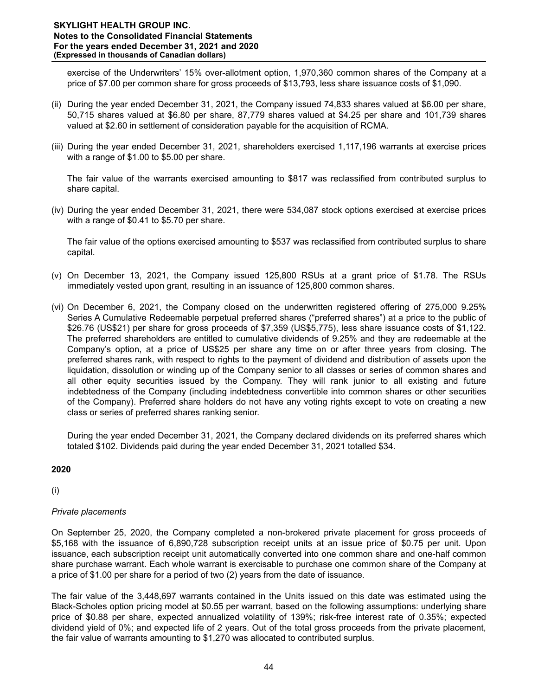exercise of the Underwriters' 15% over-allotment option, 1,970,360 common shares of the Company at a price of \$7.00 per common share for gross proceeds of \$13,793, less share issuance costs of \$1,090.

- (ii) During the year ended December 31, 2021, the Company issued 74,833 shares valued at \$6.00 per share, 50,715 shares valued at \$6.80 per share, 87,779 shares valued at \$4.25 per share and 101,739 shares valued at \$2.60 in settlement of consideration payable for the acquisition of RCMA.
- (iii) During the year ended December 31, 2021, shareholders exercised 1,117,196 warrants at exercise prices with a range of \$1.00 to \$5.00 per share.

The fair value of the warrants exercised amounting to \$817 was reclassified from contributed surplus to share capital.

(iv) During the year ended December 31, 2021, there were 534,087 stock options exercised at exercise prices with a range of \$0.41 to \$5.70 per share.

The fair value of the options exercised amounting to \$537 was reclassified from contributed surplus to share capital.

- (v) On December 13, 2021, the Company issued 125,800 RSUs at a grant price of \$1.78. The RSUs immediately vested upon grant, resulting in an issuance of 125,800 common shares.
- (vi) On December 6, 2021, the Company closed on the underwritten registered offering of 275,000 9.25% Series A Cumulative Redeemable perpetual preferred shares ("preferred shares") at a price to the public of \$26.76 (US\$21) per share for gross proceeds of \$7,359 (US\$5,775), less share issuance costs of \$1,122. The preferred shareholders are entitled to cumulative dividends of 9.25% and they are redeemable at the Company's option, at a price of US\$25 per share any time on or after three years from closing. The preferred shares rank, with respect to rights to the payment of dividend and distribution of assets upon the liquidation, dissolution or winding up of the Company senior to all classes or series of common shares and all other equity securities issued by the Company. They will rank junior to all existing and future indebtedness of the Company (including indebtedness convertible into common shares or other securities of the Company). Preferred share holders do not have any voting rights except to vote on creating a new class or series of preferred shares ranking senior.

During the year ended December 31, 2021, the Company declared dividends on its preferred shares which totaled \$102. Dividends paid during the year ended December 31, 2021 totalled \$34.

# **2020**

(i)

# *Private placements*

On September 25, 2020, the Company completed a non-brokered private placement for gross proceeds of \$5,168 with the issuance of 6,890,728 subscription receipt units at an issue price of \$0.75 per unit. Upon issuance, each subscription receipt unit automatically converted into one common share and one-half common share purchase warrant. Each whole warrant is exercisable to purchase one common share of the Company at a price of \$1.00 per share for a period of two (2) years from the date of issuance.

The fair value of the 3,448,697 warrants contained in the Units issued on this date was estimated using the Black-Scholes option pricing model at \$0.55 per warrant, based on the following assumptions: underlying share price of \$0.88 per share, expected annualized volatility of 139%; risk-free interest rate of 0.35%; expected dividend yield of 0%; and expected life of 2 years. Out of the total gross proceeds from the private placement, the fair value of warrants amounting to \$1,270 was allocated to contributed surplus.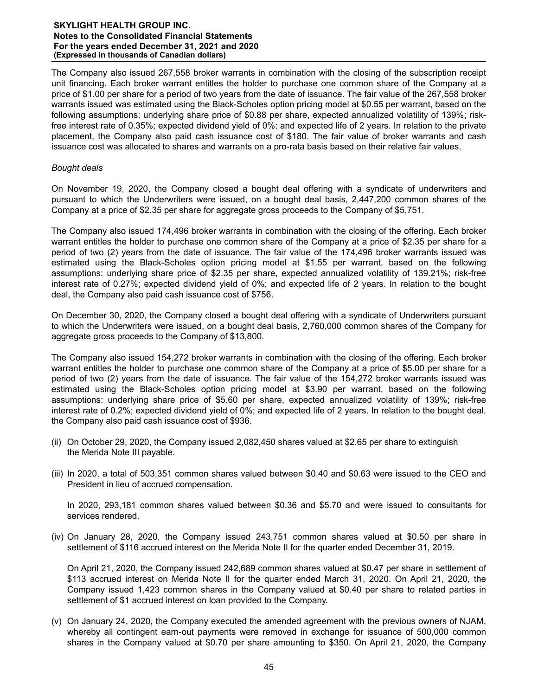The Company also issued 267,558 broker warrants in combination with the closing of the subscription receipt unit financing. Each broker warrant entitles the holder to purchase one common share of the Company at a price of \$1.00 per share for a period of two years from the date of issuance. The fair value of the 267,558 broker warrants issued was estimated using the Black-Scholes option pricing model at \$0.55 per warrant, based on the following assumptions: underlying share price of \$0.88 per share, expected annualized volatility of 139%; riskfree interest rate of 0.35%; expected dividend yield of 0%; and expected life of 2 years. In relation to the private placement, the Company also paid cash issuance cost of \$180. The fair value of broker warrants and cash issuance cost was allocated to shares and warrants on a pro-rata basis based on their relative fair values.

#### *Bought deals*

On November 19, 2020, the Company closed a bought deal offering with a syndicate of underwriters and pursuant to which the Underwriters were issued, on a bought deal basis, 2,447,200 common shares of the Company at a price of \$2.35 per share for aggregate gross proceeds to the Company of \$5,751.

The Company also issued 174,496 broker warrants in combination with the closing of the offering. Each broker warrant entitles the holder to purchase one common share of the Company at a price of \$2.35 per share for a period of two (2) years from the date of issuance. The fair value of the 174,496 broker warrants issued was estimated using the Black-Scholes option pricing model at \$1.55 per warrant, based on the following assumptions: underlying share price of \$2.35 per share, expected annualized volatility of 139.21%; risk-free interest rate of 0.27%; expected dividend yield of 0%; and expected life of 2 years. In relation to the bought deal, the Company also paid cash issuance cost of \$756.

On December 30, 2020, the Company closed a bought deal offering with a syndicate of Underwriters pursuant to which the Underwriters were issued, on a bought deal basis, 2,760,000 common shares of the Company for aggregate gross proceeds to the Company of \$13,800.

The Company also issued 154,272 broker warrants in combination with the closing of the offering. Each broker warrant entitles the holder to purchase one common share of the Company at a price of \$5.00 per share for a period of two (2) years from the date of issuance. The fair value of the 154,272 broker warrants issued was estimated using the Black-Scholes option pricing model at \$3.90 per warrant, based on the following assumptions: underlying share price of \$5.60 per share, expected annualized volatility of 139%; risk-free interest rate of 0.2%; expected dividend yield of 0%; and expected life of 2 years. In relation to the bought deal, the Company also paid cash issuance cost of \$936.

- (ii) On October 29, 2020, the Company issued 2,082,450 shares valued at \$2.65 per share to extinguish the Merida Note III payable.
- (iii) In 2020, a total of 503,351 common shares valued between \$0.40 and \$0.63 were issued to the CEO and President in lieu of accrued compensation.

In 2020, 293,181 common shares valued between \$0.36 and \$5.70 and were issued to consultants for services rendered.

(iv) On January 28, 2020, the Company issued 243,751 common shares valued at \$0.50 per share in settlement of \$116 accrued interest on the Merida Note II for the quarter ended December 31, 2019.

On April 21, 2020, the Company issued 242,689 common shares valued at \$0.47 per share in settlement of \$113 accrued interest on Merida Note II for the quarter ended March 31, 2020. On April 21, 2020, the Company issued 1,423 common shares in the Company valued at \$0.40 per share to related parties in settlement of \$1 accrued interest on loan provided to the Company.

(v) On January 24, 2020, the Company executed the amended agreement with the previous owners of NJAM, whereby all contingent earn-out payments were removed in exchange for issuance of 500,000 common shares in the Company valued at \$0.70 per share amounting to \$350. On April 21, 2020, the Company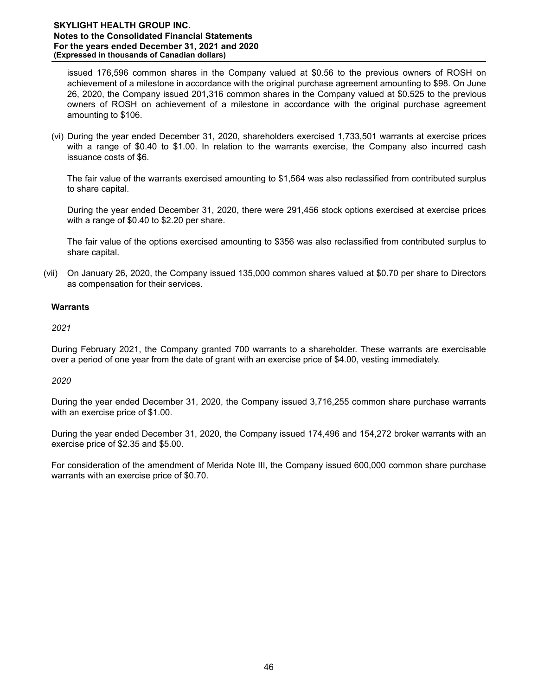issued 176,596 common shares in the Company valued at \$0.56 to the previous owners of ROSH on achievement of a milestone in accordance with the original purchase agreement amounting to \$98. On June 26, 2020, the Company issued 201,316 common shares in the Company valued at \$0.525 to the previous owners of ROSH on achievement of a milestone in accordance with the original purchase agreement amounting to \$106.

(vi) During the year ended December 31, 2020, shareholders exercised 1,733,501 warrants at exercise prices with a range of \$0.40 to \$1.00. In relation to the warrants exercise, the Company also incurred cash issuance costs of \$6.

The fair value of the warrants exercised amounting to \$1,564 was also reclassified from contributed surplus to share capital.

During the year ended December 31, 2020, there were 291,456 stock options exercised at exercise prices with a range of \$0.40 to \$2.20 per share.

The fair value of the options exercised amounting to \$356 was also reclassified from contributed surplus to share capital.

(vii) On January 26, 2020, the Company issued 135,000 common shares valued at \$0.70 per share to Directors as compensation for their services.

# **Warrants**

*2021*

During February 2021, the Company granted 700 warrants to a shareholder. These warrants are exercisable over a period of one year from the date of grant with an exercise price of \$4.00, vesting immediately.

# *2020*

During the year ended December 31, 2020, the Company issued 3,716,255 common share purchase warrants with an exercise price of \$1.00.

During the year ended December 31, 2020, the Company issued 174,496 and 154,272 broker warrants with an exercise price of \$2.35 and \$5.00.

For consideration of the amendment of Merida Note III, the Company issued 600,000 common share purchase warrants with an exercise price of \$0.70.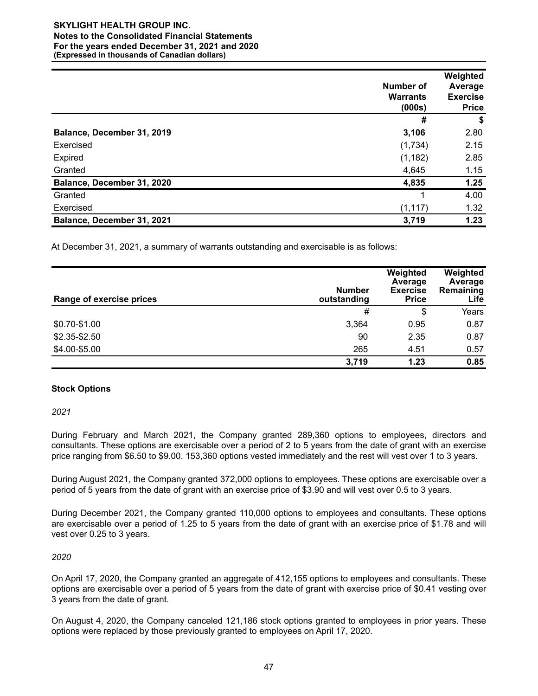|                            | Number of<br><b>Warrants</b><br>(000s) | Weighted<br>Average<br><b>Exercise</b><br><b>Price</b> |
|----------------------------|----------------------------------------|--------------------------------------------------------|
|                            | #                                      | \$                                                     |
| Balance, December 31, 2019 | 3,106                                  | 2.80                                                   |
| Exercised                  | (1,734)                                | 2.15                                                   |
| Expired                    | (1, 182)                               | 2.85                                                   |
| Granted                    | 4,645                                  | 1.15                                                   |
| Balance, December 31, 2020 | 4,835                                  | 1.25                                                   |
| Granted                    | ◢                                      | 4.00                                                   |
| Exercised                  | (1, 117)                               | 1.32                                                   |
| Balance, December 31, 2021 | 3,719                                  | 1.23                                                   |

At December 31, 2021, a summary of warrants outstanding and exercisable is as follows:

| Range of exercise prices | <b>Number</b><br>outstanding | Weighted<br>Average<br><b>Exercise</b><br><b>Price</b> | Weighted<br>Average<br>Remaining<br>Life |
|--------------------------|------------------------------|--------------------------------------------------------|------------------------------------------|
|                          | #                            | \$                                                     | Years                                    |
| \$0.70-\$1.00            | 3,364                        | 0.95                                                   | 0.87                                     |
| \$2.35-\$2.50            | 90                           | 2.35                                                   | 0.87                                     |
| \$4.00-\$5.00            | 265                          | 4.51                                                   | 0.57                                     |
|                          | 3,719                        | 1.23                                                   | 0.85                                     |

# **Stock Options**

*2021*

During February and March 2021, the Company granted 289,360 options to employees, directors and consultants. These options are exercisable over a period of 2 to 5 years from the date of grant with an exercise price ranging from \$6.50 to \$9.00. 153,360 options vested immediately and the rest will vest over 1 to 3 years.

During August 2021, the Company granted 372,000 options to employees. These options are exercisable over a period of 5 years from the date of grant with an exercise price of \$3.90 and will vest over 0.5 to 3 years.

During December 2021, the Company granted 110,000 options to employees and consultants. These options are exercisable over a period of 1.25 to 5 years from the date of grant with an exercise price of \$1.78 and will vest over 0.25 to 3 years.

# *2020*

On April 17, 2020, the Company granted an aggregate of 412,155 options to employees and consultants. These options are exercisable over a period of 5 years from the date of grant with exercise price of \$0.41 vesting over 3 years from the date of grant.

On August 4, 2020, the Company canceled 121,186 stock options granted to employees in prior years. These options were replaced by those previously granted to employees on April 17, 2020.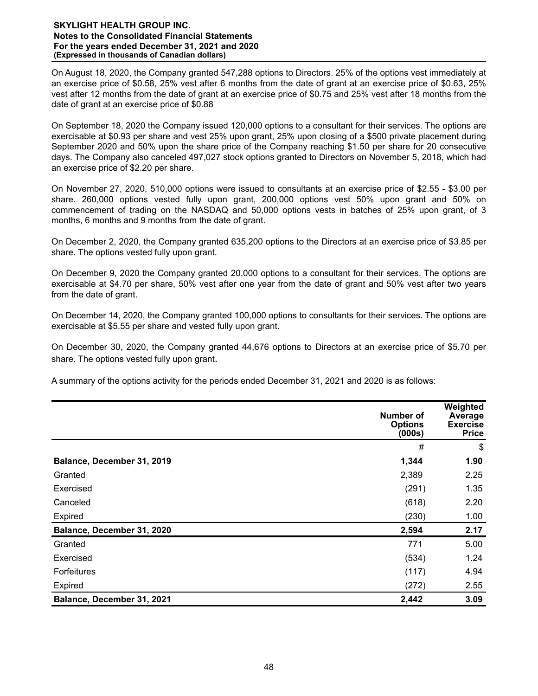On August 18, 2020, the Company granted 547,288 options to Directors. 25% of the options vest immediately at an exercise price of \$0.58, 25% vest after 6 months from the date of grant at an exercise price of \$0.63, 25% vest after 12 months from the date of grant at an exercise price of \$0.75 and 25% vest after 18 months from the date of grant at an exercise price of \$0.88

On September 18, 2020 the Company issued 120,000 options to a consultant for their services. The options are exercisable at \$0.93 per share and vest 25% upon grant, 25% upon closing of a \$500 private placement during September 2020 and 50% upon the share price of the Company reaching \$1.50 per share for 20 consecutive days. The Company also canceled 497,027 stock options granted to Directors on November 5, 2018, which had an exercise price of \$2.20 per share.

On November 27, 2020, 510,000 options were issued to consultants at an exercise price of \$2.55 - \$3.00 per share. 260,000 options vested fully upon grant, 200,000 options vest 50% upon grant and 50% on commencement of trading on the NASDAQ and 50,000 options vests in batches of 25% upon grant, of 3 months, 6 months and 9 months from the date of grant.

On December 2, 2020, the Company granted 635,200 options to the Directors at an exercise price of \$3.85 per share. The options vested fully upon grant.

On December 9, 2020 the Company granted 20,000 options to a consultant for their services. The options are exercisable at \$4.70 per share, 50% vest after one year from the date of grant and 50% vest after two years from the date of grant.

On December 14, 2020, the Company granted 100,000 options to consultants for their services. The options are exercisable at \$5.55 per share and vested fully upon grant.

On December 30, 2020, the Company granted 44,676 options to Directors at an exercise price of \$5.70 per share. The options vested fully upon grant.

A summary of the options activity for the periods ended December 31, 2021 and 2020 is as follows:

|                            | Number of<br><b>Options</b><br>(000s) | Weighted<br>Average<br><b>Exercise</b><br><b>Price</b> |
|----------------------------|---------------------------------------|--------------------------------------------------------|
|                            | #                                     | \$                                                     |
| Balance, December 31, 2019 | 1,344                                 | 1.90                                                   |
| Granted                    | 2,389                                 | 2.25                                                   |
| Exercised                  | (291)                                 | 1.35                                                   |
| Canceled                   | (618)                                 | 2.20                                                   |
| Expired                    | (230)                                 | 1.00                                                   |
| Balance, December 31, 2020 | 2,594                                 | 2.17                                                   |
| Granted                    | 771                                   | 5.00                                                   |
| Exercised                  | (534)                                 | 1.24                                                   |
| <b>Forfeitures</b>         | (117)                                 | 4.94                                                   |
| Expired                    | (272)                                 | 2.55                                                   |
| Balance, December 31, 2021 | 2,442                                 | 3.09                                                   |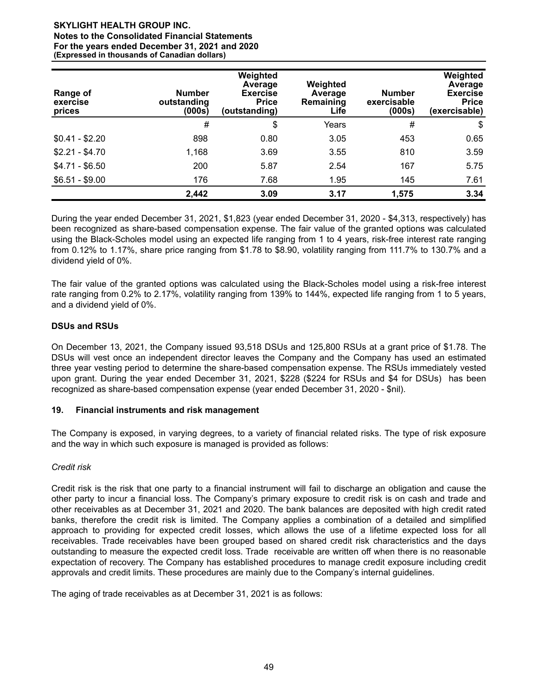# **SKYLIGHT HEALTH GROUP INC.**

#### **Notes to the Consolidated Financial Statements For the years ended December 31, 2021 and 2020 (Expressed in thousands of Canadian dollars)**

| <b>Range of</b><br>exercise<br>prices | <b>Number</b><br>outstanding<br>(000s) | Weighted<br>Average<br><b>Exercise</b><br><b>Price</b><br>(outstanding) | Weighted<br>Average<br>Remaining<br>Life | <b>Number</b><br>exercisable<br>(000s) | Weighted<br><b>Average</b><br><b>Exercise</b><br><b>Price</b><br>(exercisable) |
|---------------------------------------|----------------------------------------|-------------------------------------------------------------------------|------------------------------------------|----------------------------------------|--------------------------------------------------------------------------------|
|                                       | #                                      | \$                                                                      | Years                                    | $\#$                                   | \$                                                                             |
| $$0.41 - $2.20$                       | 898                                    | 0.80                                                                    | 3.05                                     | 453                                    | 0.65                                                                           |
| $$2.21 - $4.70$                       | 1,168                                  | 3.69                                                                    | 3.55                                     | 810                                    | 3.59                                                                           |
| $$4.71 - $6.50$                       | 200                                    | 5.87                                                                    | 2.54                                     | 167                                    | 5.75                                                                           |
| $$6.51 - $9.00$                       | 176                                    | 7.68                                                                    | 1.95                                     | 145                                    | 7.61                                                                           |
|                                       | 2,442                                  | 3.09                                                                    | 3.17                                     | 1,575                                  | 3.34                                                                           |

During the year ended December 31, 2021, \$1,823 (year ended December 31, 2020 - \$4,313, respectively) has been recognized as share-based compensation expense. The fair value of the granted options was calculated using the Black-Scholes model using an expected life ranging from 1 to 4 years, risk-free interest rate ranging from 0.12% to 1.17%, share price ranging from \$1.78 to \$8.90, volatility ranging from 111.7% to 130.7% and a dividend yield of 0%.

The fair value of the granted options was calculated using the Black-Scholes model using a risk-free interest rate ranging from 0.2% to 2.17%, volatility ranging from 139% to 144%, expected life ranging from 1 to 5 years, and a dividend yield of 0%.

# **DSUs and RSUs**

On December 13, 2021, the Company issued 93,518 DSUs and 125,800 RSUs at a grant price of \$1.78. The DSUs will vest once an independent director leaves the Company and the Company has used an estimated three year vesting period to determine the share-based compensation expense. The RSUs immediately vested upon grant. During the year ended December 31, 2021, \$228 (\$224 for RSUs and \$4 for DSUs) has been recognized as share-based compensation expense (year ended December 31, 2020 - \$nil).

# **19. Financial instruments and risk management**

The Company is exposed, in varying degrees, to a variety of financial related risks. The type of risk exposure and the way in which such exposure is managed is provided as follows:

# *Credit risk*

Credit risk is the risk that one party to a financial instrument will fail to discharge an obligation and cause the other party to incur a financial loss. The Company's primary exposure to credit risk is on cash and trade and other receivables as at December 31, 2021 and 2020. The bank balances are deposited with high credit rated banks, therefore the credit risk is limited. The Company applies a combination of a detailed and simplified approach to providing for expected credit losses, which allows the use of a lifetime expected loss for all receivables. Trade receivables have been grouped based on shared credit risk characteristics and the days outstanding to measure the expected credit loss. Trade receivable are written off when there is no reasonable expectation of recovery. The Company has established procedures to manage credit exposure including credit approvals and credit limits. These procedures are mainly due to the Company's internal guidelines.

The aging of trade receivables as at December 31, 2021 is as follows: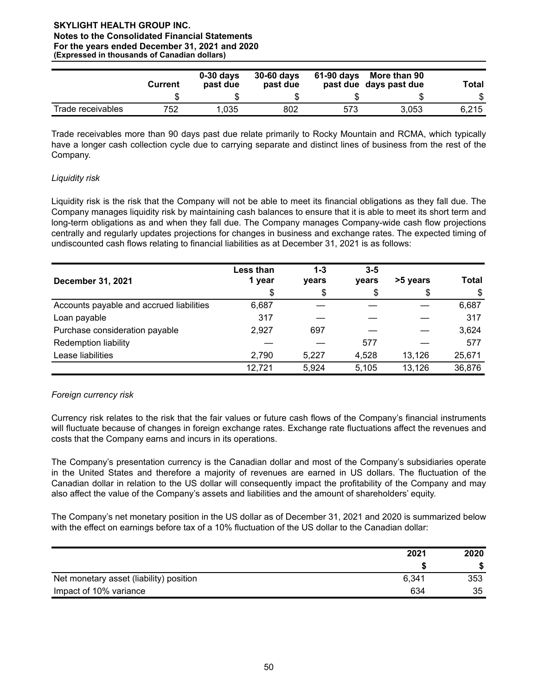|                   | Current | $0-30$ days<br>past due | $30-60$ days<br>past due | 61-90 days | More than 90<br>past due days past due | Total |
|-------------------|---------|-------------------------|--------------------------|------------|----------------------------------------|-------|
|                   |         |                         |                          |            |                                        | S     |
| Trade receivables | 752     | 1.035                   | 802                      | 573        | 3.053                                  | 6.215 |

Trade receivables more than 90 days past due relate primarily to Rocky Mountain and RCMA, which typically have a longer cash collection cycle due to carrying separate and distinct lines of business from the rest of the Company.

# *Liquidity risk*

Liquidity risk is the risk that the Company will not be able to meet its financial obligations as they fall due. The Company manages liquidity risk by maintaining cash balances to ensure that it is able to meet its short term and long-term obligations as and when they fall due. The Company manages Company-wide cash flow projections centrally and regularly updates projections for changes in business and exchange rates. The expected timing of undiscounted cash flows relating to financial liabilities as at December 31, 2021 is as follows:

| <b>December 31, 2021</b>                 | Less than<br>1 year | 1-3<br>years | $3 - 5$<br>years | >5 years | Total  |
|------------------------------------------|---------------------|--------------|------------------|----------|--------|
|                                          | \$                  | \$           | \$               | \$       |        |
| Accounts payable and accrued liabilities | 6,687               |              |                  |          | 6,687  |
| Loan payable                             | 317                 |              |                  |          | 317    |
| Purchase consideration payable           | 2,927               | 697          |                  |          | 3,624  |
| <b>Redemption liability</b>              |                     |              | 577              |          | 577    |
| Lease liabilities                        | 2,790               | 5.227        | 4,528            | 13,126   | 25,671 |
|                                          | 12,721              | 5.924        | 5,105            | 13,126   | 36,876 |

# *Foreign currency risk*

Currency risk relates to the risk that the fair values or future cash flows of the Company's financial instruments will fluctuate because of changes in foreign exchange rates. Exchange rate fluctuations affect the revenues and costs that the Company earns and incurs in its operations.

The Company's presentation currency is the Canadian dollar and most of the Company's subsidiaries operate in the United States and therefore a majority of revenues are earned in US dollars. The fluctuation of the Canadian dollar in relation to the US dollar will consequently impact the profitability of the Company and may also affect the value of the Company's assets and liabilities and the amount of shareholders' equity.

The Company's net monetary position in the US dollar as of December 31, 2021 and 2020 is summarized below with the effect on earnings before tax of a 10% fluctuation of the US dollar to the Canadian dollar:

|                                         | 2021  | 2020 |
|-----------------------------------------|-------|------|
|                                         |       |      |
| Net monetary asset (liability) position | 6,341 | 353  |
| Impact of 10% variance                  | 634   | 35   |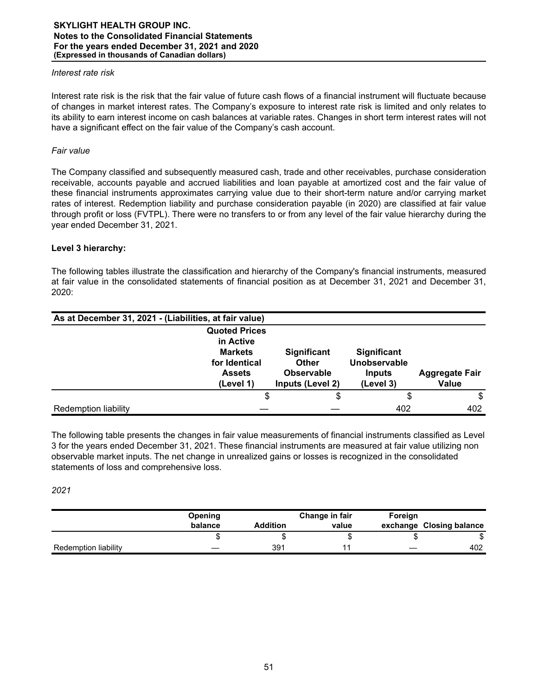#### *Interest rate risk*

Interest rate risk is the risk that the fair value of future cash flows of a financial instrument will fluctuate because of changes in market interest rates. The Company's exposure to interest rate risk is limited and only relates to its ability to earn interest income on cash balances at variable rates. Changes in short term interest rates will not have a significant effect on the fair value of the Company's cash account.

# *Fair value*

The Company classified and subsequently measured cash, trade and other receivables, purchase consideration receivable, accounts payable and accrued liabilities and loan payable at amortized cost and the fair value of these financial instruments approximates carrying value due to their short-term nature and/or carrying market rates of interest. Redemption liability and purchase consideration payable (in 2020) are classified at fair value through profit or loss (FVTPL). There were no transfers to or from any level of the fair value hierarchy during the year ended December 31, 2021.

# **Level 3 hierarchy:**

The following tables illustrate the classification and hierarchy of the Company's financial instruments, measured at fair value in the consolidated statements of financial position as at December 31, 2021 and December 31, 2020:

| As at December 31, 2021 - (Liabilities, at fair value) |                                                                                                    |                                                                             |                                                                  |                                       |  |  |  |  |
|--------------------------------------------------------|----------------------------------------------------------------------------------------------------|-----------------------------------------------------------------------------|------------------------------------------------------------------|---------------------------------------|--|--|--|--|
|                                                        | <b>Quoted Prices</b><br>in Active<br><b>Markets</b><br>for Identical<br><b>Assets</b><br>(Level 1) | <b>Significant</b><br><b>Other</b><br><b>Observable</b><br>Inputs (Level 2) | <b>Significant</b><br><b>Unobservable</b><br>Inputs<br>(Level 3) | <b>Aggregate Fair</b><br><b>Value</b> |  |  |  |  |
|                                                        | \$                                                                                                 | \$                                                                          | \$                                                               | \$                                    |  |  |  |  |
| <b>Redemption liability</b>                            |                                                                                                    |                                                                             | 402                                                              | 402                                   |  |  |  |  |

The following table presents the changes in fair value measurements of financial instruments classified as Level 3 for the years ended December 31, 2021. These financial instruments are measured at fair value utilizing non observable market inputs. The net change in unrealized gains or losses is recognized in the consolidated statements of loss and comprehensive loss.

# *2021*

|                      | <b>Opening</b><br>balance | <b>Addition</b> | Change in fair<br>value | Foreign | exchange Closing balance |
|----------------------|---------------------------|-----------------|-------------------------|---------|--------------------------|
|                      |                           |                 |                         |         | \$                       |
| Redemption liability |                           | 391             |                         |         | 402                      |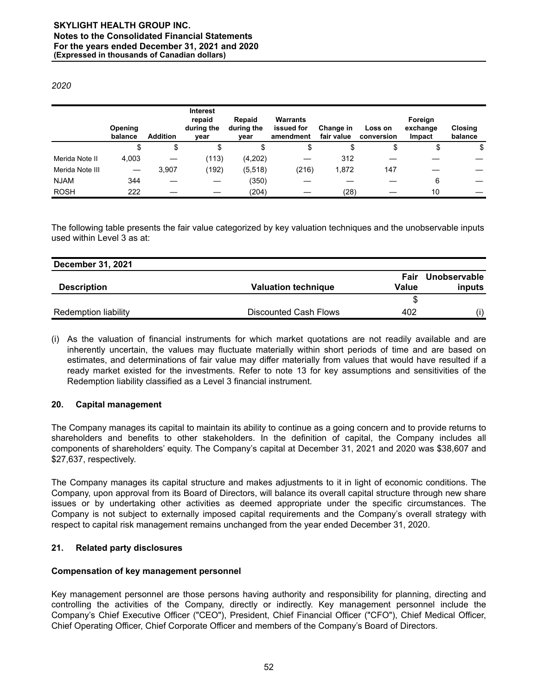# *2020*

|                 | Opening<br>balance | <b>Addition</b> | <b>Interest</b><br>repaid<br>during the<br>year | Repaid<br>during the<br>year | Warrants<br>issued for<br>amendment | Change in<br>fair value | Loss on<br>conversion | Foreign<br>exchange<br>Impact | Closing<br>balance |
|-----------------|--------------------|-----------------|-------------------------------------------------|------------------------------|-------------------------------------|-------------------------|-----------------------|-------------------------------|--------------------|
|                 | \$                 | \$              | \$                                              | S                            | \$                                  | J                       | \$                    | \$                            | \$                 |
| Merida Note II  | 4,003              |                 | (113)                                           | (4,202)                      |                                     | 312                     |                       |                               |                    |
| Merida Note III |                    | 3,907           | (192)                                           | (5, 518)                     | (216)                               | 1,872                   | 147                   |                               |                    |
| <b>NJAM</b>     | 344                |                 |                                                 | (350)                        |                                     |                         |                       | 6                             |                    |
| <b>ROSH</b>     | 222                |                 |                                                 | (204)                        |                                     | (28)                    |                       | 10                            |                    |

The following table presents the fair value categorized by key valuation techniques and the unobservable inputs used within Level 3 as at:

| <b>December 31, 2021</b>    |                            |       |              |
|-----------------------------|----------------------------|-------|--------------|
|                             |                            | Fair  | Unobservable |
| <b>Description</b>          | <b>Valuation technique</b> | Value | inputs       |
|                             |                            |       |              |
| <b>Redemption liability</b> | Discounted Cash Flows      | 402   | (i)          |

(i) As the valuation of financial instruments for which market quotations are not readily available and are inherently uncertain, the values may fluctuate materially within short periods of time and are based on estimates, and determinations of fair value may differ materially from values that would have resulted if a ready market existed for the investments. Refer to note 13 for key assumptions and sensitivities of the Redemption liability classified as a Level 3 financial instrument.

# **20. Capital management**

The Company manages its capital to maintain its ability to continue as a going concern and to provide returns to shareholders and benefits to other stakeholders. In the definition of capital, the Company includes all components of shareholders' equity. The Company's capital at December 31, 2021 and 2020 was \$38,607 and \$27,637, respectively.

The Company manages its capital structure and makes adjustments to it in light of economic conditions. The Company, upon approval from its Board of Directors, will balance its overall capital structure through new share issues or by undertaking other activities as deemed appropriate under the specific circumstances. The Company is not subject to externally imposed capital requirements and the Company's overall strategy with respect to capital risk management remains unchanged from the year ended December 31, 2020.

# **21. Related party disclosures**

# **Compensation of key management personnel**

Key management personnel are those persons having authority and responsibility for planning, directing and controlling the activities of the Company, directly or indirectly. Key management personnel include the Company's Chief Executive Officer ("CEO"), President, Chief Financial Officer ("CFO"), Chief Medical Officer, Chief Operating Officer, Chief Corporate Officer and members of the Company's Board of Directors.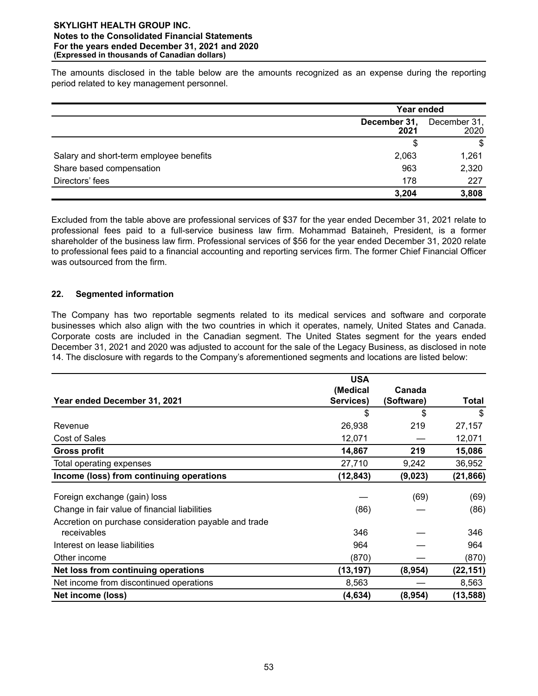The amounts disclosed in the table below are the amounts recognized as an expense during the reporting period related to key management personnel.

|                                         | <b>Year ended</b>    |                      |  |
|-----------------------------------------|----------------------|----------------------|--|
|                                         | December 31,<br>2021 | December 31,<br>2020 |  |
|                                         | \$                   | \$                   |  |
| Salary and short-term employee benefits | 2,063                | 1,261                |  |
| Share based compensation                | 963                  | 2,320                |  |
| Directors' fees                         | 178                  | 227                  |  |
|                                         | 3,204                | 3,808                |  |

Excluded from the table above are professional services of \$37 for the year ended December 31, 2021 relate to professional fees paid to a full-service business law firm. Mohammad Bataineh, President, is a former shareholder of the business law firm. Professional services of \$56 for the year ended December 31, 2020 relate to professional fees paid to a financial accounting and reporting services firm. The former Chief Financial Officer was outsourced from the firm.

# **22. Segmented information**

The Company has two reportable segments related to its medical services and software and corporate businesses which also align with the two countries in which it operates, namely, United States and Canada. Corporate costs are included in the Canadian segment. The United States segment for the years ended December 31, 2021 and 2020 was adjusted to account for the sale of the Legacy Business, as disclosed in note 14. The disclosure with regards to the Company's aforementioned segments and locations are listed below:

|                                                       | <b>USA</b> |            |           |  |
|-------------------------------------------------------|------------|------------|-----------|--|
|                                                       | (Medical   | Canada     |           |  |
| Year ended December 31, 2021                          | Services)  | (Software) | Total     |  |
|                                                       | \$         | \$         | \$        |  |
| Revenue                                               | 26,938     | 219        | 27,157    |  |
| Cost of Sales                                         | 12,071     |            | 12,071    |  |
| <b>Gross profit</b>                                   | 14,867     | 219        | 15,086    |  |
| Total operating expenses                              | 27,710     | 9,242      | 36,952    |  |
| Income (loss) from continuing operations              | (12, 843)  | (9,023)    | (21, 866) |  |
| Foreign exchange (gain) loss                          |            | (69)       | (69)      |  |
| Change in fair value of financial liabilities         | (86)       |            | (86)      |  |
| Accretion on purchase consideration payable and trade |            |            |           |  |
| receivables                                           | 346        |            | 346       |  |
| Interest on lease liabilities                         | 964        |            | 964       |  |
| Other income                                          | (870)      |            | (870)     |  |
| Net loss from continuing operations                   | (13, 197)  | (8,954)    | (22, 151) |  |
| Net income from discontinued operations               | 8,563      |            | 8,563     |  |
| Net income (loss)                                     | (4,634)    | (8,954)    | (13, 588) |  |